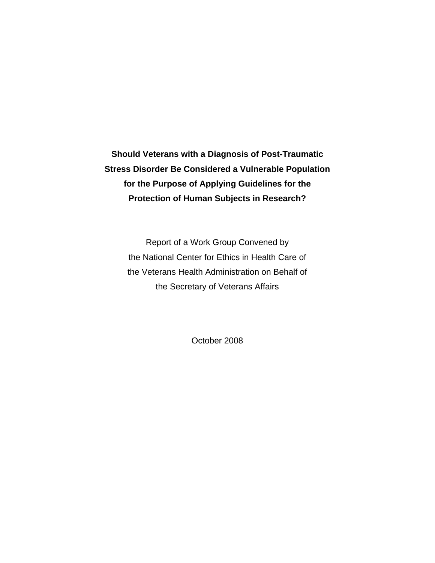**Should Veterans with a Diagnosis of Post-Traumatic Stress Disorder Be Considered a Vulnerable Population for the Purpose of Applying Guidelines for the Protection of Human Subjects in Research?** 

> Report of a Work Group Convened by the National Center for Ethics in Health Care of the Veterans Health Administration on Behalf of the Secretary of Veterans Affairs

> > October 2008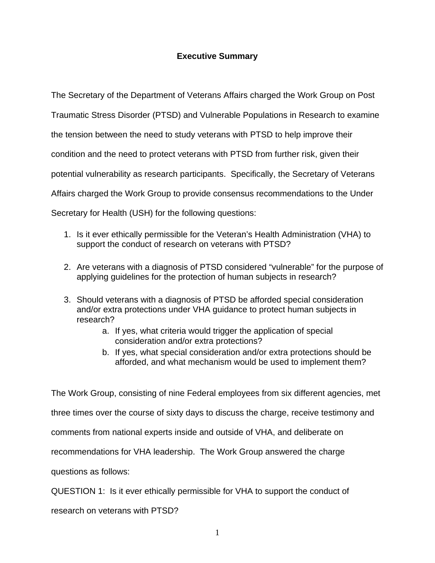## **Executive Summary**

The Secretary of the Department of Veterans Affairs charged the Work Group on Post Traumatic Stress Disorder (PTSD) and Vulnerable Populations in Research to examine the tension between the need to study veterans with PTSD to help improve their condition and the need to protect veterans with PTSD from further risk, given their potential vulnerability as research participants. Specifically, the Secretary of Veterans Affairs charged the Work Group to provide consensus recommendations to the Under Secretary for Health (USH) for the following questions:

- 1. Is it ever ethically permissible for the Veteran's Health Administration (VHA) to support the conduct of research on veterans with PTSD?
- 2. Are veterans with a diagnosis of PTSD considered "vulnerable" for the purpose of applying guidelines for the protection of human subjects in research?
- 3. Should veterans with a diagnosis of PTSD be afforded special consideration and/or extra protections under VHA guidance to protect human subjects in research?
	- a. If yes, what criteria would trigger the application of special consideration and/or extra protections?
	- b. If yes, what special consideration and/or extra protections should be afforded, and what mechanism would be used to implement them?

The Work Group, consisting of nine Federal employees from six different agencies, met

three times over the course of sixty days to discuss the charge, receive testimony and

comments from national experts inside and outside of VHA, and deliberate on

recommendations for VHA leadership. The Work Group answered the charge

questions as follows:

QUESTION 1: Is it ever ethically permissible for VHA to support the conduct of

research on veterans with PTSD?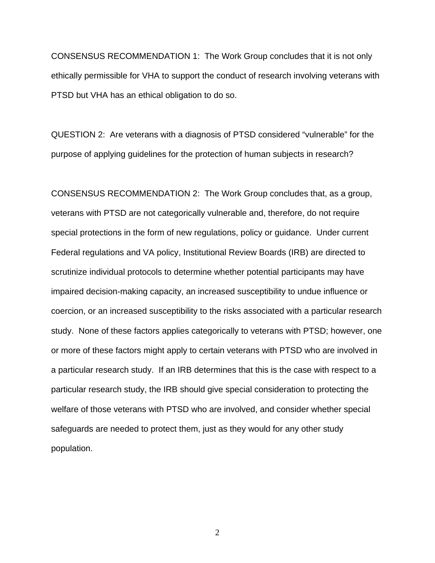CONSENSUS RECOMMENDATION 1: The Work Group concludes that it is not only ethically permissible for VHA to support the conduct of research involving veterans with PTSD but VHA has an ethical obligation to do so.

QUESTION 2: Are veterans with a diagnosis of PTSD considered "vulnerable" for the purpose of applying guidelines for the protection of human subjects in research?

CONSENSUS RECOMMENDATION 2: The Work Group concludes that, as a group, veterans with PTSD are not categorically vulnerable and, therefore, do not require special protections in the form of new regulations, policy or guidance. Under current Federal regulations and VA policy, Institutional Review Boards (IRB) are directed to scrutinize individual protocols to determine whether potential participants may have impaired decision-making capacity, an increased susceptibility to undue influence or coercion, or an increased susceptibility to the risks associated with a particular research study. None of these factors applies categorically to veterans with PTSD; however, one or more of these factors might apply to certain veterans with PTSD who are involved in a particular research study. If an IRB determines that this is the case with respect to a particular research study, the IRB should give special consideration to protecting the welfare of those veterans with PTSD who are involved, and consider whether special safeguards are needed to protect them, just as they would for any other study population.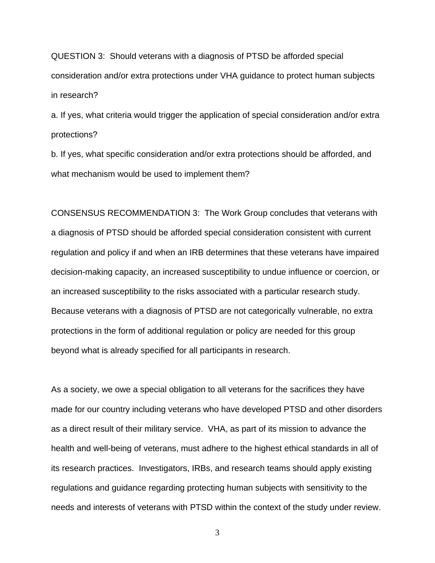QUESTION 3: Should veterans with a diagnosis of PTSD be afforded special consideration and/or extra protections under VHA guidance to protect human subjects in research?

a. If yes, what criteria would trigger the application of special consideration and/or extra protections?

b. If yes, what specific consideration and/or extra protections should be afforded, and what mechanism would be used to implement them?

CONSENSUS RECOMMENDATION 3: The Work Group concludes that veterans with a diagnosis of PTSD should be afforded special consideration consistent with current regulation and policy if and when an IRB determines that these veterans have impaired decision-making capacity, an increased susceptibility to undue influence or coercion, or an increased susceptibility to the risks associated with a particular research study. Because veterans with a diagnosis of PTSD are not categorically vulnerable, no extra protections in the form of additional regulation or policy are needed for this group beyond what is already specified for all participants in research.

As a society, we owe a special obligation to all veterans for the sacrifices they have made for our country including veterans who have developed PTSD and other disorders as a direct result of their military service. VHA, as part of its mission to advance the health and well-being of veterans, must adhere to the highest ethical standards in all of its research practices. Investigators, IRBs, and research teams should apply existing regulations and guidance regarding protecting human subjects with sensitivity to the needs and interests of veterans with PTSD within the context of the study under review.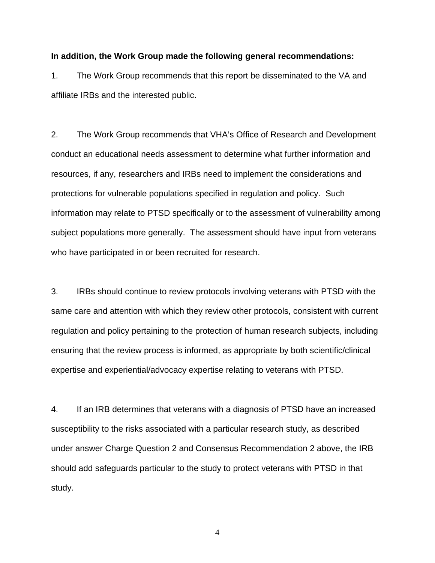#### **In addition, the Work Group made the following general recommendations:**

1. The Work Group recommends that this report be disseminated to the VA and affiliate IRBs and the interested public.

2. The Work Group recommends that VHA's Office of Research and Development conduct an educational needs assessment to determine what further information and resources, if any, researchers and IRBs need to implement the considerations and protections for vulnerable populations specified in regulation and policy. Such information may relate to PTSD specifically or to the assessment of vulnerability among subject populations more generally. The assessment should have input from veterans who have participated in or been recruited for research.

3. IRBs should continue to review protocols involving veterans with PTSD with the same care and attention with which they review other protocols, consistent with current regulation and policy pertaining to the protection of human research subjects, including ensuring that the review process is informed, as appropriate by both scientific/clinical expertise and experiential/advocacy expertise relating to veterans with PTSD.

4. If an IRB determines that veterans with a diagnosis of PTSD have an increased susceptibility to the risks associated with a particular research study, as described under answer Charge Question 2 and Consensus Recommendation 2 above, the IRB should add safeguards particular to the study to protect veterans with PTSD in that study.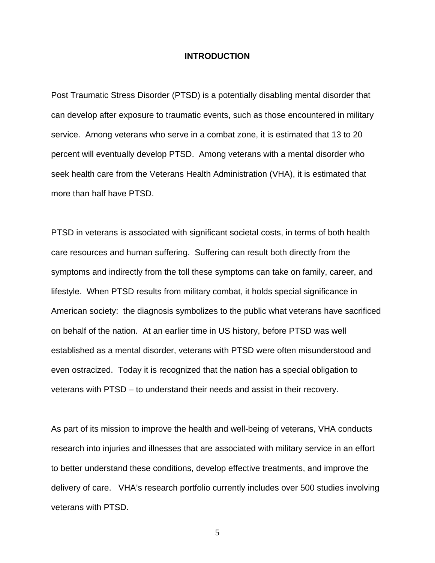#### **INTRODUCTION**

Post Traumatic Stress Disorder (PTSD) is a potentially disabling mental disorder that can develop after exposure to traumatic events, such as those encountered in military service. Among veterans who serve in a combat zone, it is estimated that 13 to 20 percent will eventually develop PTSD. Among veterans with a mental disorder who seek health care from the Veterans Health Administration (VHA), it is estimated that more than half have PTSD.

PTSD in veterans is associated with significant societal costs, in terms of both health care resources and human suffering. Suffering can result both directly from the symptoms and indirectly from the toll these symptoms can take on family, career, and lifestyle. When PTSD results from military combat, it holds special significance in American society: the diagnosis symbolizes to the public what veterans have sacrificed on behalf of the nation. At an earlier time in US history, before PTSD was well established as a mental disorder, veterans with PTSD were often misunderstood and even ostracized. Today it is recognized that the nation has a special obligation to veterans with PTSD – to understand their needs and assist in their recovery.

As part of its mission to improve the health and well-being of veterans, VHA conducts research into injuries and illnesses that are associated with military service in an effort to better understand these conditions, develop effective treatments, and improve the delivery of care. VHA's research portfolio currently includes over 500 studies involving veterans with PTSD.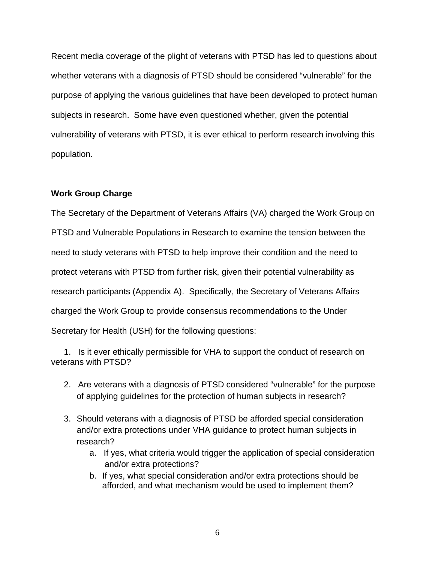Recent media coverage of the plight of veterans with PTSD has led to questions about whether veterans with a diagnosis of PTSD should be considered "vulnerable" for the purpose of applying the various guidelines that have been developed to protect human subjects in research. Some have even questioned whether, given the potential vulnerability of veterans with PTSD, it is ever ethical to perform research involving this population.

#### **Work Group Charge**

The Secretary of the Department of Veterans Affairs (VA) charged the Work Group on PTSD and Vulnerable Populations in Research to examine the tension between the need to study veterans with PTSD to help improve their condition and the need to protect veterans with PTSD from further risk, given their potential vulnerability as research participants (Appendix A). Specifically, the Secretary of Veterans Affairs charged the Work Group to provide consensus recommendations to the Under Secretary for Health (USH) for the following questions:

1. Is it ever ethically permissible for VHA to support the conduct of research on veterans with PTSD?

- 2. Are veterans with a diagnosis of PTSD considered "vulnerable" for the purpose of applying guidelines for the protection of human subjects in research?
- 3. Should veterans with a diagnosis of PTSD be afforded special consideration and/or extra protections under VHA guidance to protect human subjects in research?
	- a. If yes, what criteria would trigger the application of special consideration and/or extra protections?
	- b. If yes, what special consideration and/or extra protections should be afforded, and what mechanism would be used to implement them?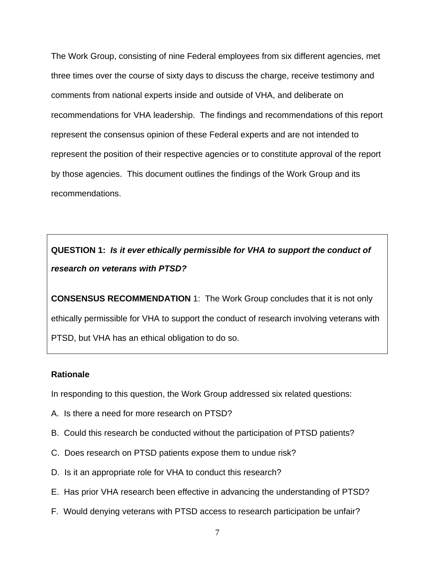The Work Group, consisting of nine Federal employees from six different agencies, met three times over the course of sixty days to discuss the charge, receive testimony and comments from national experts inside and outside of VHA, and deliberate on recommendations for VHA leadership. The findings and recommendations of this report represent the consensus opinion of these Federal experts and are not intended to represent the position of their respective agencies or to constitute approval of the report by those agencies. This document outlines the findings of the Work Group and its recommendations.

**QUESTION 1:** *Is it ever ethically permissible for VHA to support the conduct of research on veterans with PTSD?*

**CONSENSUS RECOMMENDATION** 1: The Work Group concludes that it is not only ethically permissible for VHA to support the conduct of research involving veterans with PTSD, but VHA has an ethical obligation to do so.

#### **Rationale**

In responding to this question, the Work Group addressed six related questions:

- A. Is there a need for more research on PTSD?
- B. Could this research be conducted without the participation of PTSD patients?
- C. Does research on PTSD patients expose them to undue risk?
- D. Is it an appropriate role for VHA to conduct this research?
- E. Has prior VHA research been effective in advancing the understanding of PTSD?
- F. Would denying veterans with PTSD access to research participation be unfair?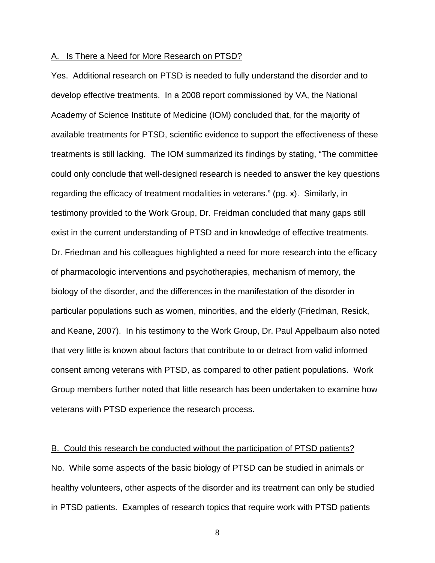#### A. Is There a Need for More Research on PTSD?

Yes. Additional research on PTSD is needed to fully understand the disorder and to develop effective treatments. In a 2008 report commissioned by VA, the National Academy of Science Institute of Medicine (IOM) concluded that, for the majority of available treatments for PTSD, scientific evidence to support the effectiveness of these treatments is still lacking. The IOM summarized its findings by stating, "The committee could only conclude that well-designed research is needed to answer the key questions regarding the efficacy of treatment modalities in veterans." (pg. x). Similarly, in testimony provided to the Work Group, Dr. Freidman concluded that many gaps still exist in the current understanding of PTSD and in knowledge of effective treatments. Dr. Friedman and his colleagues highlighted a need for more research into the efficacy of pharmacologic interventions and psychotherapies, mechanism of memory, the biology of the disorder, and the differences in the manifestation of the disorder in particular populations such as women, minorities, and the elderly (Friedman, Resick, and Keane, 2007). In his testimony to the Work Group, Dr. Paul Appelbaum also noted that very little is known about factors that contribute to or detract from valid informed consent among veterans with PTSD, as compared to other patient populations. Work Group members further noted that little research has been undertaken to examine how veterans with PTSD experience the research process.

#### B. Could this research be conducted without the participation of PTSD patients?

No. While some aspects of the basic biology of PTSD can be studied in animals or healthy volunteers, other aspects of the disorder and its treatment can only be studied in PTSD patients. Examples of research topics that require work with PTSD patients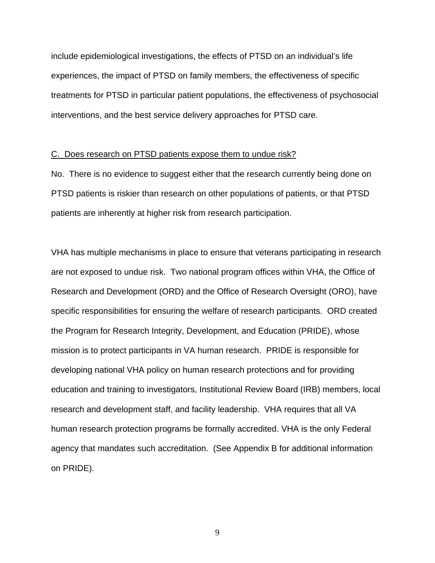include epidemiological investigations, the effects of PTSD on an individual's life experiences, the impact of PTSD on family members, the effectiveness of specific treatments for PTSD in particular patient populations, the effectiveness of psychosocial interventions, and the best service delivery approaches for PTSD care.

#### C. Does research on PTSD patients expose them to undue risk?

No. There is no evidence to suggest either that the research currently being done on PTSD patients is riskier than research on other populations of patients, or that PTSD patients are inherently at higher risk from research participation.

VHA has multiple mechanisms in place to ensure that veterans participating in research are not exposed to undue risk. Two national program offices within VHA, the Office of Research and Development (ORD) and the Office of Research Oversight (ORO), have specific responsibilities for ensuring the welfare of research participants. ORD created the Program for Research Integrity, Development, and Education (PRIDE), whose mission is to protect participants in VA human research. PRIDE is responsible for developing national VHA policy on human research protections and for providing education and training to investigators, Institutional Review Board (IRB) members, local research and development staff, and facility leadership. VHA requires that all VA human research protection programs be formally accredited. VHA is the only Federal agency that mandates such accreditation. (See Appendix B for additional information on PRIDE).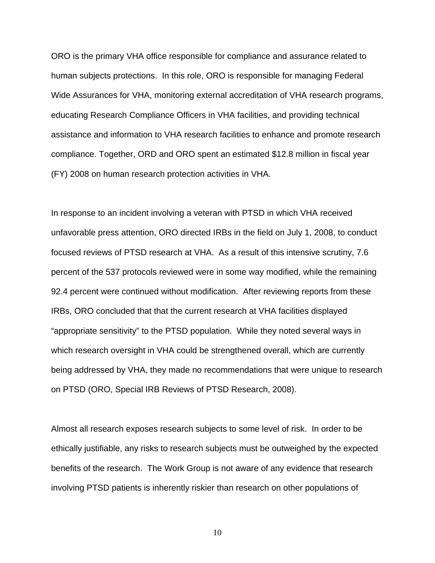ORO is the primary VHA office responsible for compliance and assurance related to human subjects protections. In this role, ORO is responsible for managing Federal Wide Assurances for VHA, monitoring external accreditation of VHA research programs, educating Research Compliance Officers in VHA facilities, and providing technical assistance and information to VHA research facilities to enhance and promote research compliance. Together, ORD and ORO spent an estimated \$12.8 million in fiscal year (FY) 2008 on human research protection activities in VHA.

In response to an incident involving a veteran with PTSD in which VHA received unfavorable press attention, ORO directed IRBs in the field on July 1, 2008, to conduct focused reviews of PTSD research at VHA. As a result of this intensive scrutiny, 7.6 percent of the 537 protocols reviewed were in some way modified, while the remaining 92.4 percent were continued without modification. After reviewing reports from these IRBs, ORO concluded that that the current research at VHA facilities displayed "appropriate sensitivity" to the PTSD population. While they noted several ways in which research oversight in VHA could be strengthened overall, which are currently being addressed by VHA, they made no recommendations that were unique to research on PTSD (ORO, Special IRB Reviews of PTSD Research, 2008).

Almost all research exposes research subjects to some level of risk. In order to be ethically justifiable, any risks to research subjects must be outweighed by the expected benefits of the research. The Work Group is not aware of any evidence that research involving PTSD patients is inherently riskier than research on other populations of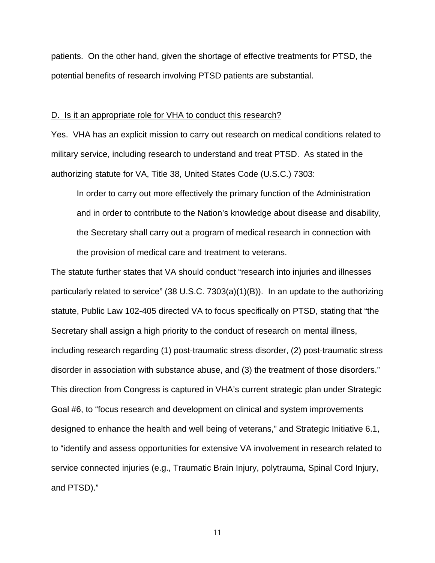patients. On the other hand, given the shortage of effective treatments for PTSD, the potential benefits of research involving PTSD patients are substantial.

#### D. Is it an appropriate role for VHA to conduct this research?

Yes. VHA has an explicit mission to carry out research on medical conditions related to military service, including research to understand and treat PTSD. As stated in the authorizing statute for VA, Title 38, United States Code (U.S.C.) 7303:

In order to carry out more effectively the primary function of the Administration and in order to contribute to the Nation's knowledge about disease and disability, the Secretary shall carry out a program of medical research in connection with the provision of medical care and treatment to veterans.

The statute further states that VA should conduct "research into injuries and illnesses particularly related to service" (38 U.S.C. 7303(a)(1)(B)). In an update to the authorizing statute, Public Law 102-405 directed VA to focus specifically on PTSD, stating that "the Secretary shall assign a high priority to the conduct of research on mental illness, including research regarding (1) post-traumatic stress disorder, (2) post-traumatic stress disorder in association with substance abuse, and (3) the treatment of those disorders." This direction from Congress is captured in VHA's current strategic plan under Strategic Goal #6, to "focus research and development on clinical and system improvements designed to enhance the health and well being of veterans," and Strategic Initiative 6.1, to "identify and assess opportunities for extensive VA involvement in research related to service connected injuries (e.g., Traumatic Brain Injury, polytrauma, Spinal Cord Injury, and PTSD)."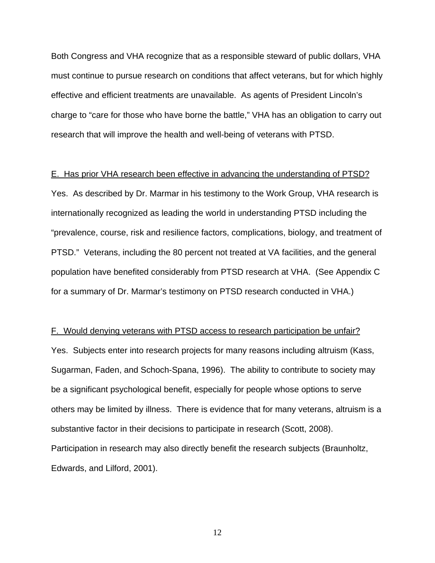Both Congress and VHA recognize that as a responsible steward of public dollars, VHA must continue to pursue research on conditions that affect veterans, but for which highly effective and efficient treatments are unavailable. As agents of President Lincoln's charge to "care for those who have borne the battle," VHA has an obligation to carry out research that will improve the health and well-being of veterans with PTSD.

#### E. Has prior VHA research been effective in advancing the understanding of PTSD?

Yes. As described by Dr. Marmar in his testimony to the Work Group, VHA research is internationally recognized as leading the world in understanding PTSD including the "prevalence, course, risk and resilience factors, complications, biology, and treatment of PTSD." Veterans, including the 80 percent not treated at VA facilities, and the general population have benefited considerably from PTSD research at VHA. (See Appendix C for a summary of Dr. Marmar's testimony on PTSD research conducted in VHA.)

#### F. Would denying veterans with PTSD access to research participation be unfair?

Yes. Subjects enter into research projects for many reasons including altruism (Kass, Sugarman, Faden, and Schoch-Spana, 1996). The ability to contribute to society may be a significant psychological benefit, especially for people whose options to serve others may be limited by illness. There is evidence that for many veterans, altruism is a substantive factor in their decisions to participate in research (Scott, 2008). Participation in research may also directly benefit the research subjects (Braunholtz, Edwards, and Lilford, 2001).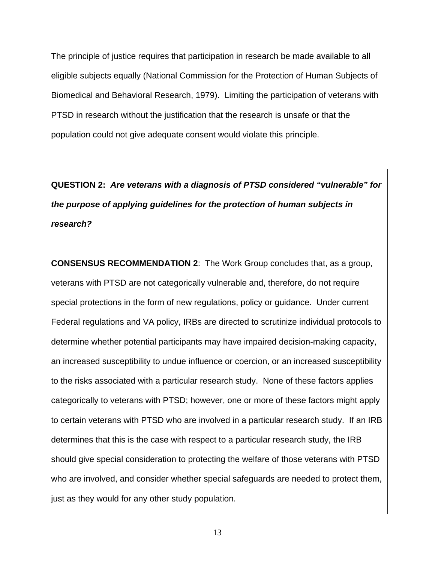The principle of justice requires that participation in research be made available to all eligible subjects equally (National Commission for the Protection of Human Subjects of Biomedical and Behavioral Research, 1979). Limiting the participation of veterans with PTSD in research without the justification that the research is unsafe or that the population could not give adequate consent would violate this principle.

**QUESTION 2:** *Are veterans with a diagnosis of PTSD considered "vulnerable" for the purpose of applying guidelines for the protection of human subjects in research?* 

**CONSENSUS RECOMMENDATION 2**: The Work Group concludes that, as a group, veterans with PTSD are not categorically vulnerable and, therefore, do not require special protections in the form of new regulations, policy or guidance. Under current Federal regulations and VA policy, IRBs are directed to scrutinize individual protocols to determine whether potential participants may have impaired decision-making capacity, an increased susceptibility to undue influence or coercion, or an increased susceptibility to the risks associated with a particular research study. None of these factors applies categorically to veterans with PTSD; however, one or more of these factors might apply to certain veterans with PTSD who are involved in a particular research study. If an IRB determines that this is the case with respect to a particular research study, the IRB should give special consideration to protecting the welfare of those veterans with PTSD who are involved, and consider whether special safeguards are needed to protect them, just as they would for any other study population.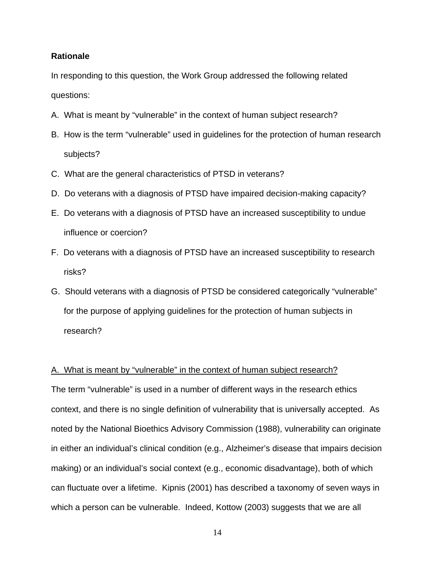#### **Rationale**

In responding to this question, the Work Group addressed the following related questions:

- A. What is meant by "vulnerable" in the context of human subject research?
- B. How is the term "vulnerable" used in guidelines for the protection of human research subjects?
- C. What are the general characteristics of PTSD in veterans?
- D. Do veterans with a diagnosis of PTSD have impaired decision-making capacity?
- E. Do veterans with a diagnosis of PTSD have an increased susceptibility to undue influence or coercion?
- F. Do veterans with a diagnosis of PTSD have an increased susceptibility to research risks?
- G. Should veterans with a diagnosis of PTSD be considered categorically "vulnerable" for the purpose of applying guidelines for the protection of human subjects in research?

#### A. What is meant by "vulnerable" in the context of human subject research?

The term "vulnerable" is used in a number of different ways in the research ethics context, and there is no single definition of vulnerability that is universally accepted. As noted by the National Bioethics Advisory Commission (1988), vulnerability can originate in either an individual's clinical condition (e.g., Alzheimer's disease that impairs decision making) or an individual's social context (e.g., economic disadvantage), both of which can fluctuate over a lifetime. Kipnis (2001) has described a taxonomy of seven ways in which a person can be vulnerable. Indeed, Kottow (2003) suggests that we are all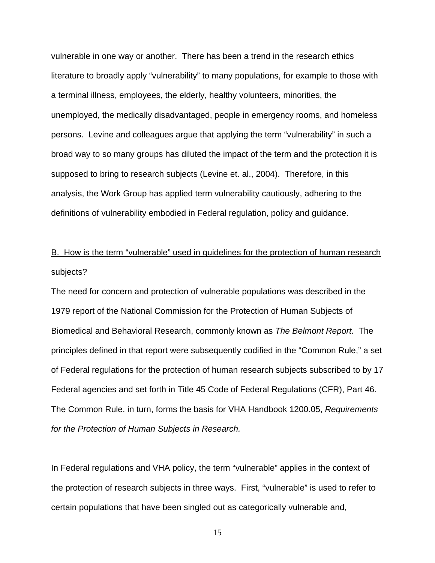vulnerable in one way or another. There has been a trend in the research ethics literature to broadly apply "vulnerability" to many populations, for example to those with a terminal illness, employees, the elderly, healthy volunteers, minorities, the unemployed, the medically disadvantaged, people in emergency rooms, and homeless persons. Levine and colleagues argue that applying the term "vulnerability" in such a broad way to so many groups has diluted the impact of the term and the protection it is supposed to bring to research subjects (Levine et. al., 2004). Therefore, in this analysis, the Work Group has applied term vulnerability cautiously, adhering to the definitions of vulnerability embodied in Federal regulation, policy and guidance.

# B. How is the term "vulnerable" used in guidelines for the protection of human research subjects?

The need for concern and protection of vulnerable populations was described in the 1979 report of the National Commission for the Protection of Human Subjects of Biomedical and Behavioral Research, commonly known as *The Belmont Report*. The principles defined in that report were subsequently codified in the "Common Rule," a set of Federal regulations for the protection of human research subjects subscribed to by 17 Federal agencies and set forth in Title 45 Code of Federal Regulations (CFR), Part 46. The Common Rule, in turn, forms the basis for VHA Handbook 1200.05, *Requirements for the Protection of Human Subjects in Research.*

In Federal regulations and VHA policy, the term "vulnerable" applies in the context of the protection of research subjects in three ways. First, "vulnerable" is used to refer to certain populations that have been singled out as categorically vulnerable and,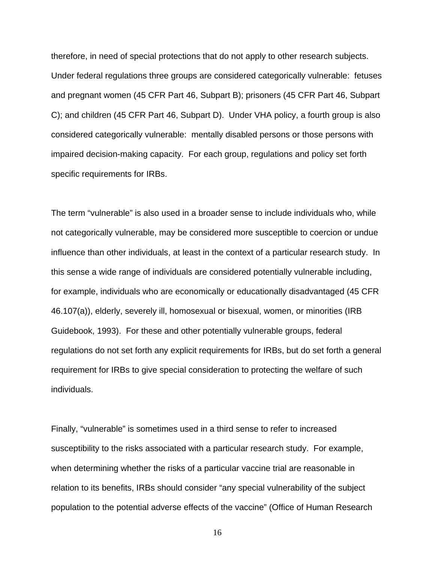therefore, in need of special protections that do not apply to other research subjects. Under federal regulations three groups are considered categorically vulnerable: fetuses and pregnant women (45 CFR Part 46, Subpart B); prisoners (45 CFR Part 46, Subpart C); and children (45 CFR Part 46, Subpart D). Under VHA policy, a fourth group is also considered categorically vulnerable: mentally disabled persons or those persons with impaired decision-making capacity. For each group, regulations and policy set forth specific requirements for IRBs.

The term "vulnerable" is also used in a broader sense to include individuals who, while not categorically vulnerable, may be considered more susceptible to coercion or undue influence than other individuals, at least in the context of a particular research study. In this sense a wide range of individuals are considered potentially vulnerable including, for example, individuals who are economically or educationally disadvantaged (45 CFR 46.107(a)), elderly, severely ill, homosexual or bisexual, women, or minorities (IRB Guidebook, 1993). For these and other potentially vulnerable groups, federal regulations do not set forth any explicit requirements for IRBs, but do set forth a general requirement for IRBs to give special consideration to protecting the welfare of such individuals.

Finally, "vulnerable" is sometimes used in a third sense to refer to increased susceptibility to the risks associated with a particular research study. For example, when determining whether the risks of a particular vaccine trial are reasonable in relation to its benefits, IRBs should consider "any special vulnerability of the subject population to the potential adverse effects of the vaccine" (Office of Human Research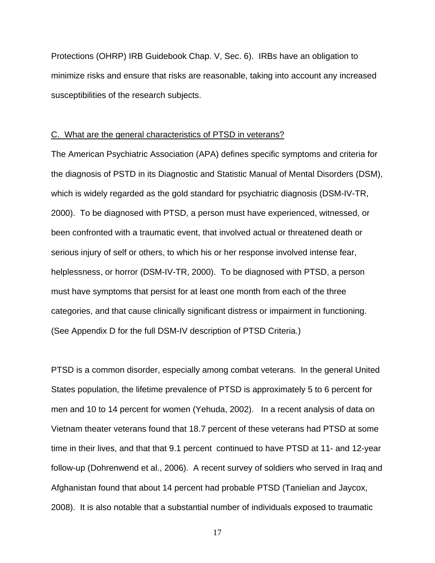Protections (OHRP) IRB Guidebook Chap. V, Sec. 6). IRBs have an obligation to minimize risks and ensure that risks are reasonable, taking into account any increased susceptibilities of the research subjects.

#### C. What are the general characteristics of PTSD in veterans?

The American Psychiatric Association (APA) defines specific symptoms and criteria for the diagnosis of PSTD in its Diagnostic and Statistic Manual of Mental Disorders (DSM), which is widely regarded as the gold standard for psychiatric diagnosis (DSM-IV-TR, 2000). To be diagnosed with PTSD, a person must have experienced, witnessed, or been confronted with a traumatic event, that involved actual or threatened death or serious injury of self or others, to which his or her response involved intense fear, helplessness, or horror (DSM-IV-TR, 2000). To be diagnosed with PTSD, a person must have symptoms that persist for at least one month from each of the three categories, and that cause clinically significant distress or impairment in functioning. (See Appendix D for the full DSM-IV description of PTSD Criteria.)

PTSD is a common disorder, especially among combat veterans. In the general United States population, the lifetime prevalence of PTSD is approximately 5 to 6 percent for men and 10 to 14 percent for women (Yehuda, 2002). In a recent analysis of data on Vietnam theater veterans found that 18.7 percent of these veterans had PTSD at some time in their lives, and that that 9.1 percent continued to have PTSD at 11- and 12-year follow-up (Dohrenwend et al., 2006). A recent survey of soldiers who served in Iraq and Afghanistan found that about 14 percent had probable PTSD (Tanielian and Jaycox, 2008). It is also notable that a substantial number of individuals exposed to traumatic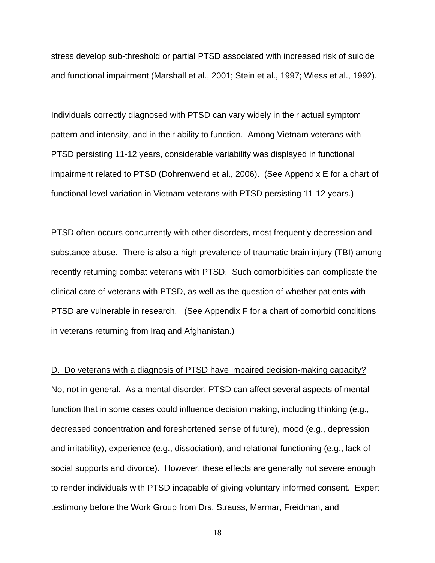stress develop sub-threshold or partial PTSD associated with increased risk of suicide and functional impairment (Marshall et al., 2001; Stein et al., 1997; Wiess et al., 1992).

Individuals correctly diagnosed with PTSD can vary widely in their actual symptom pattern and intensity, and in their ability to function. Among Vietnam veterans with PTSD persisting 11-12 years, considerable variability was displayed in functional impairment related to PTSD (Dohrenwend et al., 2006). (See Appendix E for a chart of functional level variation in Vietnam veterans with PTSD persisting 11-12 years.)

PTSD often occurs concurrently with other disorders, most frequently depression and substance abuse. There is also a high prevalence of traumatic brain injury (TBI) among recently returning combat veterans with PTSD. Such comorbidities can complicate the clinical care of veterans with PTSD, as well as the question of whether patients with PTSD are vulnerable in research. (See Appendix F for a chart of comorbid conditions in veterans returning from Iraq and Afghanistan.)

D. Do veterans with a diagnosis of PTSD have impaired decision-making capacity? No, not in general. As a mental disorder, PTSD can affect several aspects of mental function that in some cases could influence decision making, including thinking (e.g., decreased concentration and foreshortened sense of future), mood (e.g., depression and irritability), experience (e.g., dissociation), and relational functioning (e.g., lack of social supports and divorce). However, these effects are generally not severe enough to render individuals with PTSD incapable of giving voluntary informed consent. Expert testimony before the Work Group from Drs. Strauss, Marmar, Freidman, and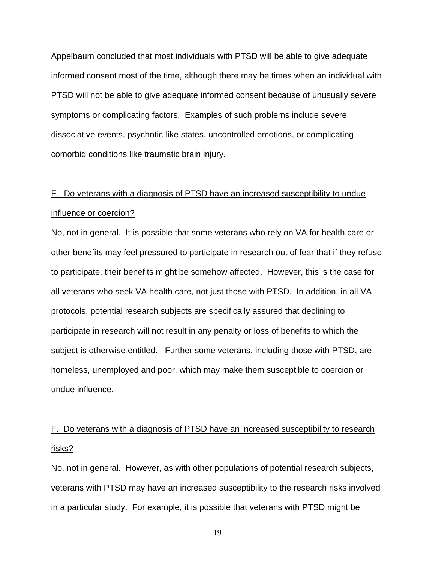Appelbaum concluded that most individuals with PTSD will be able to give adequate informed consent most of the time, although there may be times when an individual with PTSD will not be able to give adequate informed consent because of unusually severe symptoms or complicating factors. Examples of such problems include severe dissociative events, psychotic-like states, uncontrolled emotions, or complicating comorbid conditions like traumatic brain injury.

# E. Do veterans with a diagnosis of PTSD have an increased susceptibility to undue influence or coercion?

No, not in general. It is possible that some veterans who rely on VA for health care or other benefits may feel pressured to participate in research out of fear that if they refuse to participate, their benefits might be somehow affected. However, this is the case for all veterans who seek VA health care, not just those with PTSD. In addition, in all VA protocols, potential research subjects are specifically assured that declining to participate in research will not result in any penalty or loss of benefits to which the subject is otherwise entitled. Further some veterans, including those with PTSD, are homeless, unemployed and poor, which may make them susceptible to coercion or undue influence.

# F. Do veterans with a diagnosis of PTSD have an increased susceptibility to research risks?

No, not in general. However, as with other populations of potential research subjects, veterans with PTSD may have an increased susceptibility to the research risks involved in a particular study. For example, it is possible that veterans with PTSD might be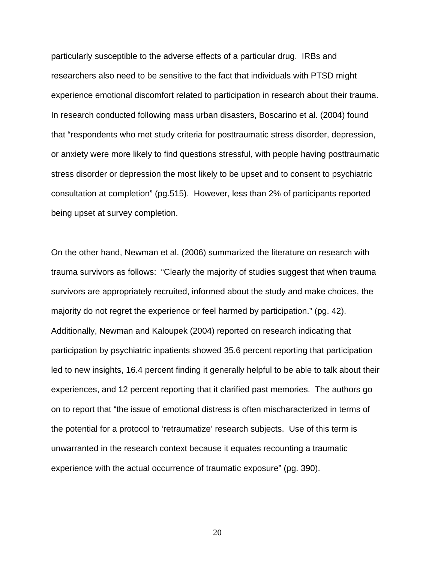particularly susceptible to the adverse effects of a particular drug. IRBs and researchers also need to be sensitive to the fact that individuals with PTSD might experience emotional discomfort related to participation in research about their trauma. In research conducted following mass urban disasters, Boscarino et al. (2004) found that "respondents who met study criteria for posttraumatic stress disorder, depression, or anxiety were more likely to find questions stressful, with people having posttraumatic stress disorder or depression the most likely to be upset and to consent to psychiatric consultation at completion" (pg.515). However, less than 2% of participants reported being upset at survey completion.

On the other hand, Newman et al. (2006) summarized the literature on research with trauma survivors as follows: "Clearly the majority of studies suggest that when trauma survivors are appropriately recruited, informed about the study and make choices, the majority do not regret the experience or feel harmed by participation." (pg. 42). Additionally, Newman and Kaloupek (2004) reported on research indicating that participation by psychiatric inpatients showed 35.6 percent reporting that participation led to new insights, 16.4 percent finding it generally helpful to be able to talk about their experiences, and 12 percent reporting that it clarified past memories. The authors go on to report that "the issue of emotional distress is often mischaracterized in terms of the potential for a protocol to 'retraumatize' research subjects. Use of this term is unwarranted in the research context because it equates recounting a traumatic experience with the actual occurrence of traumatic exposure" (pg. 390).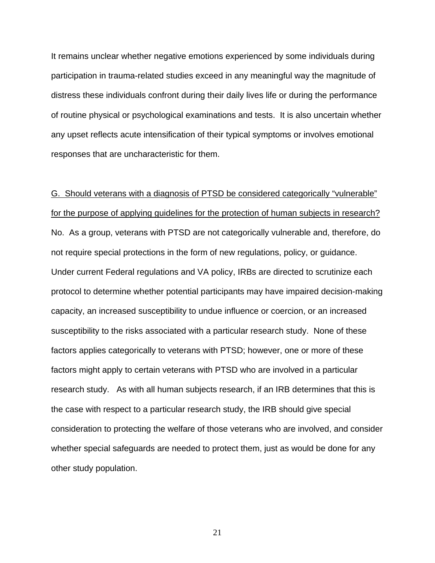It remains unclear whether negative emotions experienced by some individuals during participation in trauma-related studies exceed in any meaningful way the magnitude of distress these individuals confront during their daily lives life or during the performance of routine physical or psychological examinations and tests. It is also uncertain whether any upset reflects acute intensification of their typical symptoms or involves emotional responses that are uncharacteristic for them.

G. Should veterans with a diagnosis of PTSD be considered categorically "vulnerable" for the purpose of applying guidelines for the protection of human subjects in research? No. As a group, veterans with PTSD are not categorically vulnerable and, therefore, do not require special protections in the form of new regulations, policy, or guidance. Under current Federal regulations and VA policy, IRBs are directed to scrutinize each protocol to determine whether potential participants may have impaired decision-making capacity, an increased susceptibility to undue influence or coercion, or an increased susceptibility to the risks associated with a particular research study. None of these factors applies categorically to veterans with PTSD; however, one or more of these factors might apply to certain veterans with PTSD who are involved in a particular research study. As with all human subjects research, if an IRB determines that this is the case with respect to a particular research study, the IRB should give special consideration to protecting the welfare of those veterans who are involved, and consider whether special safeguards are needed to protect them, just as would be done for any other study population.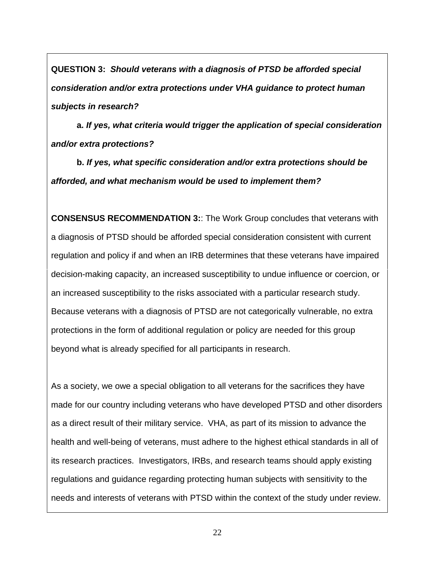**QUESTION 3:** *Should veterans with a diagnosis of PTSD be afforded special consideration and/or extra protections under VHA guidance to protect human subjects in research?*

**a.** *If yes, what criteria would trigger the application of special consideration and/or extra protections?* 

**b.** *If yes, what specific consideration and/or extra protections should be afforded, and what mechanism would be used to implement them?*

**CONSENSUS RECOMMENDATION 3:**: The Work Group concludes that veterans with a diagnosis of PTSD should be afforded special consideration consistent with current regulation and policy if and when an IRB determines that these veterans have impaired decision-making capacity, an increased susceptibility to undue influence or coercion, or an increased susceptibility to the risks associated with a particular research study. Because veterans with a diagnosis of PTSD are not categorically vulnerable, no extra protections in the form of additional regulation or policy are needed for this group beyond what is already specified for all participants in research.

As a society, we owe a special obligation to all veterans for the sacrifices they have made for our country including veterans who have developed PTSD and other disorders as a direct result of their military service. VHA, as part of its mission to advance the health and well-being of veterans, must adhere to the highest ethical standards in all of its research practices. Investigators, IRBs, and research teams should apply existing regulations and guidance regarding protecting human subjects with sensitivity to the needs and interests of veterans with PTSD within the context of the study under review.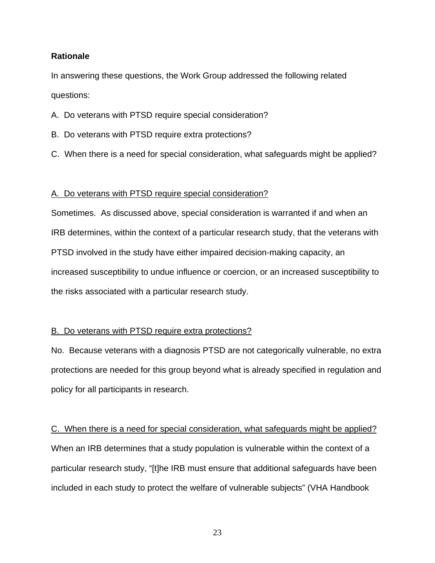#### **Rationale**

In answering these questions, the Work Group addressed the following related questions:

A. Do veterans with PTSD require special consideration?

- B. Do veterans with PTSD require extra protections?
- C. When there is a need for special consideration, what safeguards might be applied?

#### A. Do veterans with PTSD require special consideration?

Sometimes. As discussed above, special consideration is warranted if and when an IRB determines, within the context of a particular research study, that the veterans with PTSD involved in the study have either impaired decision-making capacity, an increased susceptibility to undue influence or coercion, or an increased susceptibility to the risks associated with a particular research study.

#### B. Do veterans with PTSD require extra protections?

No. Because veterans with a diagnosis PTSD are not categorically vulnerable, no extra protections are needed for this group beyond what is already specified in regulation and policy for all participants in research.

C. When there is a need for special consideration, what safeguards might be applied? When an IRB determines that a study population is vulnerable within the context of a particular research study, "[t]he IRB must ensure that additional safeguards have been included in each study to protect the welfare of vulnerable subjects" (VHA Handbook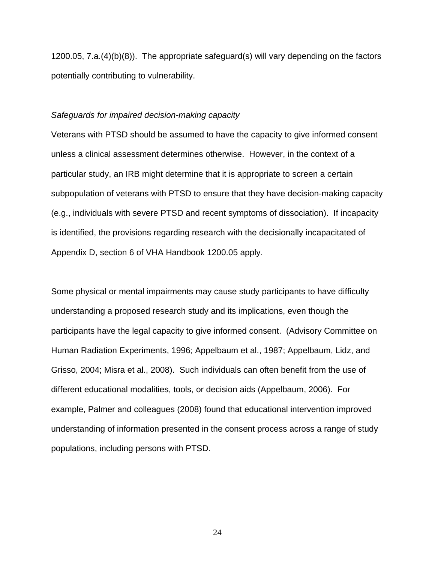1200.05, 7.a.(4)(b)(8)). The appropriate safeguard(s) will vary depending on the factors potentially contributing to vulnerability.

#### *Safeguards for impaired decision-making capacity*

Veterans with PTSD should be assumed to have the capacity to give informed consent unless a clinical assessment determines otherwise. However, in the context of a particular study, an IRB might determine that it is appropriate to screen a certain subpopulation of veterans with PTSD to ensure that they have decision-making capacity (e.g., individuals with severe PTSD and recent symptoms of dissociation). If incapacity is identified, the provisions regarding research with the decisionally incapacitated of Appendix D, section 6 of VHA Handbook 1200.05 apply.

Some physical or mental impairments may cause study participants to have difficulty understanding a proposed research study and its implications, even though the participants have the legal capacity to give informed consent. (Advisory Committee on Human Radiation Experiments, 1996; Appelbaum et al., 1987; Appelbaum, Lidz, and Grisso, 2004; Misra et al., 2008). Such individuals can often benefit from the use of different educational modalities, tools, or decision aids (Appelbaum, 2006). For example, Palmer and colleagues (2008) found that educational intervention improved understanding of information presented in the consent process across a range of study populations, including persons with PTSD.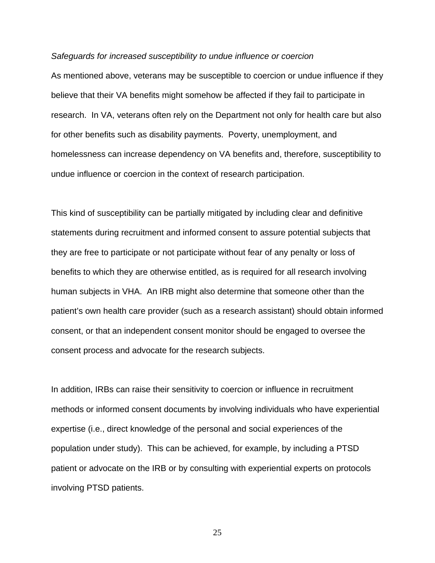#### *Safeguards for increased susceptibility to undue influence or coercion*

As mentioned above, veterans may be susceptible to coercion or undue influence if they believe that their VA benefits might somehow be affected if they fail to participate in research. In VA, veterans often rely on the Department not only for health care but also for other benefits such as disability payments. Poverty, unemployment, and homelessness can increase dependency on VA benefits and, therefore, susceptibility to undue influence or coercion in the context of research participation.

This kind of susceptibility can be partially mitigated by including clear and definitive statements during recruitment and informed consent to assure potential subjects that they are free to participate or not participate without fear of any penalty or loss of benefits to which they are otherwise entitled, as is required for all research involving human subjects in VHA. An IRB might also determine that someone other than the patient's own health care provider (such as a research assistant) should obtain informed consent, or that an independent consent monitor should be engaged to oversee the consent process and advocate for the research subjects.

In addition, IRBs can raise their sensitivity to coercion or influence in recruitment methods or informed consent documents by involving individuals who have experiential expertise (i.e., direct knowledge of the personal and social experiences of the population under study). This can be achieved, for example, by including a PTSD patient or advocate on the IRB or by consulting with experiential experts on protocols involving PTSD patients.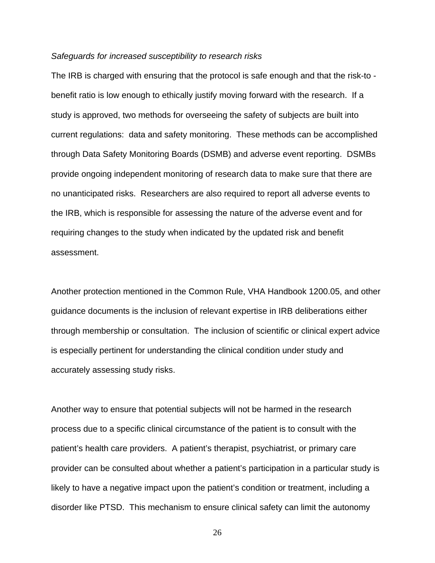#### *Safeguards for increased susceptibility to research risks*

The IRB is charged with ensuring that the protocol is safe enough and that the risk-to benefit ratio is low enough to ethically justify moving forward with the research. If a study is approved, two methods for overseeing the safety of subjects are built into current regulations: data and safety monitoring. These methods can be accomplished through Data Safety Monitoring Boards (DSMB) and adverse event reporting. DSMBs provide ongoing independent monitoring of research data to make sure that there are no unanticipated risks. Researchers are also required to report all adverse events to the IRB, which is responsible for assessing the nature of the adverse event and for requiring changes to the study when indicated by the updated risk and benefit assessment.

Another protection mentioned in the Common Rule, VHA Handbook 1200.05, and other guidance documents is the inclusion of relevant expertise in IRB deliberations either through membership or consultation. The inclusion of scientific or clinical expert advice is especially pertinent for understanding the clinical condition under study and accurately assessing study risks.

Another way to ensure that potential subjects will not be harmed in the research process due to a specific clinical circumstance of the patient is to consult with the patient's health care providers. A patient's therapist, psychiatrist, or primary care provider can be consulted about whether a patient's participation in a particular study is likely to have a negative impact upon the patient's condition or treatment, including a disorder like PTSD. This mechanism to ensure clinical safety can limit the autonomy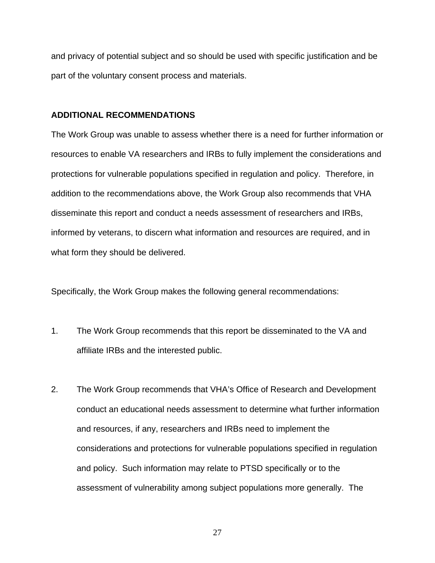and privacy of potential subject and so should be used with specific justification and be part of the voluntary consent process and materials.

#### **ADDITIONAL RECOMMENDATIONS**

The Work Group was unable to assess whether there is a need for further information or resources to enable VA researchers and IRBs to fully implement the considerations and protections for vulnerable populations specified in regulation and policy. Therefore, in addition to the recommendations above, the Work Group also recommends that VHA disseminate this report and conduct a needs assessment of researchers and IRBs, informed by veterans, to discern what information and resources are required, and in what form they should be delivered.

Specifically, the Work Group makes the following general recommendations:

- 1. The Work Group recommends that this report be disseminated to the VA and affiliate IRBs and the interested public.
- 2. The Work Group recommends that VHA's Office of Research and Development conduct an educational needs assessment to determine what further information and resources, if any, researchers and IRBs need to implement the considerations and protections for vulnerable populations specified in regulation and policy. Such information may relate to PTSD specifically or to the assessment of vulnerability among subject populations more generally. The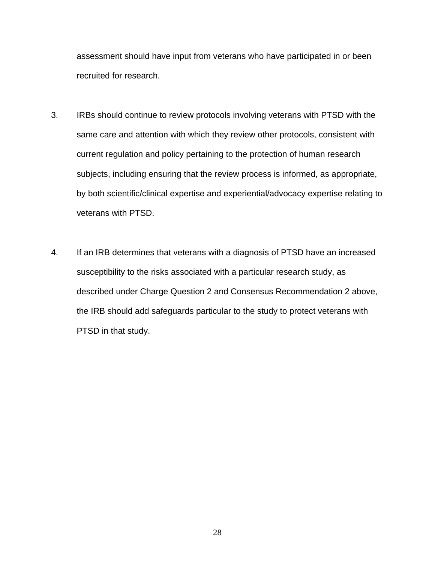assessment should have input from veterans who have participated in or been recruited for research.

- 3. IRBs should continue to review protocols involving veterans with PTSD with the same care and attention with which they review other protocols, consistent with current regulation and policy pertaining to the protection of human research subjects, including ensuring that the review process is informed, as appropriate, by both scientific/clinical expertise and experiential/advocacy expertise relating to veterans with PTSD.
- 4. If an IRB determines that veterans with a diagnosis of PTSD have an increased susceptibility to the risks associated with a particular research study, as described under Charge Question 2 and Consensus Recommendation 2 above, the IRB should add safeguards particular to the study to protect veterans with PTSD in that study.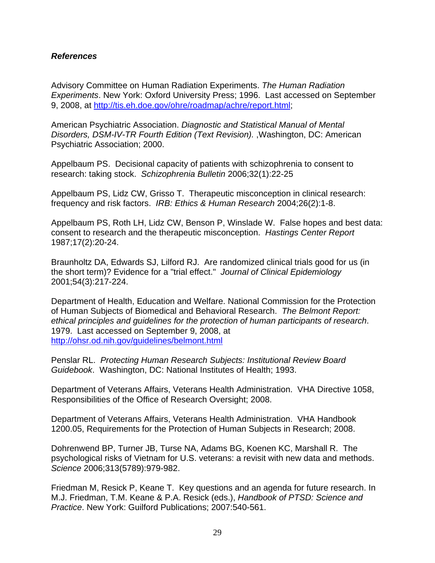#### *References*

Advisory Committee on Human Radiation Experiments. *The Human Radiation Experiments*. New York: Oxford University Press; 1996. Last accessed on September 9, 2008, at [http://tis.eh.doe.gov/ohre/roadmap/achre/report.html;](http://tis.eh.doe.gov/ohre/roadmap/achre/report.html)

American Psychiatric Association. *Diagnostic and Statistical Manual of Mental Disorders, DSM-IV-TR Fourth Edition (Text Revision).* ,Washington, DC: American Psychiatric Association; 2000.

Appelbaum PS. Decisional capacity of patients with schizophrenia to consent to research: taking stock. *Schizophrenia Bulletin* 2006;32(1):22-25

Appelbaum PS, Lidz CW, Grisso T. Therapeutic misconception in clinical research: frequency and risk factors. *IRB: Ethics & Human Research* 2004;26(2):1-8.

Appelbaum PS, Roth LH, Lidz CW, Benson P, Winslade W. False hopes and best data: consent to research and the therapeutic misconception. *Hastings Center Report* 1987;17(2):20-24.

Braunholtz DA, Edwards SJ, Lilford RJ. Are randomized clinical trials good for us (in the short term)? Evidence for a "trial effect." *Journal of Clinical Epidemiology* 2001;54(3):217-224.

Department of Health, Education and Welfare. National Commission for the Protection of Human Subjects of Biomedical and Behavioral Research. *The Belmont Report: ethical principles and guidelines for the protection of human participants of research*. 1979. Last accessed on September 9, 2008, at <http://ohsr.od.nih.gov/guidelines/belmont.html>

Penslar RL. *Protecting Human Research Subjects: Institutional Review Board Guidebook*. Washington, DC: National Institutes of Health; 1993.

Department of Veterans Affairs, Veterans Health Administration. VHA Directive 1058, Responsibilities of the Office of Research Oversight; 2008.

Department of Veterans Affairs, Veterans Health Administration. VHA Handbook 1200.05, Requirements for the Protection of Human Subjects in Research; 2008.

Dohrenwend BP, Turner JB, Turse NA, Adams BG, Koenen KC, Marshall R. The psychological risks of Vietnam for U.S. veterans: a revisit with new data and methods. *Science* 2006;313(5789):979-982.

Friedman M, Resick P, Keane T. Key questions and an agenda for future research. In M.J. Friedman, T.M. Keane & P.A. Resick (eds.), *Handbook of PTSD: Science and Practice*. New York: Guilford Publications; 2007:540-561.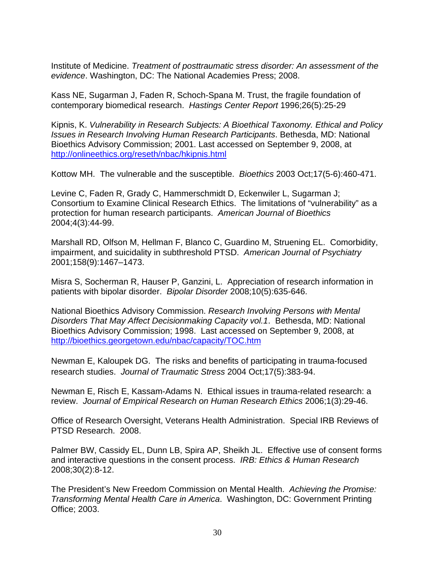Institute of Medicine. *Treatment of posttraumatic stress disorder: An assessment of the evidence*. Washington, DC: The National Academies Press; 2008.

Kass NE, Sugarman J, Faden R, Schoch-Spana M. Trust, the fragile foundation of contemporary biomedical research. *Hastings Center Report* 1996;26(5):25-29

Kipnis, K. *Vulnerability in Research Subjects: A Bioethical Taxonomy. Ethical and Policy Issues in Research Involving Human Research Participants*. Bethesda, MD: National Bioethics Advisory Commission; 2001. Last accessed on September 9, 2008, at <http://onlineethics.org/reseth/nbac/hkipnis.html>

Kottow MH. The vulnerable and the susceptible. *Bioethics* 2003 Oct;17(5-6):460-471.

Levine C, Faden R, Grady C, Hammerschmidt D, Eckenwiler L, Sugarman J; Consortium to Examine Clinical Research Ethics. The limitations of "vulnerability" as a protection for human research participants. *American Journal of Bioethics* 2004;4(3):44-99.

Marshall RD, Olfson M, Hellman F, Blanco C, Guardino M, Struening EL. Comorbidity, impairment, and suicidality in subthreshold PTSD. *American Journal of Psychiatry* 2001;158(9):1467–1473.

Misra S, Socherman R, Hauser P, Ganzini, L. Appreciation of research information in patients with bipolar disorder. *Bipolar Disorder* 2008;10(5):635-646.

National Bioethics Advisory Commission. *Research Involving Persons with Mental Disorders That May Affect Decisionmaking Capacity vol.1*. Bethesda, MD: National Bioethics Advisory Commission; 1998. Last accessed on September 9, 2008, at <http://bioethics.georgetown.edu/nbac/capacity/TOC.htm>

Newman E, Kaloupek DG. The risks and benefits of participating in trauma-focused research studies. *Journal of Traumatic Stress* 2004 Oct;17(5):383-94.

Newman E, Risch E, Kassam-Adams N. Ethical issues in trauma-related research: a review. *Journal of Empirical Research on Human Research Ethics* 2006;1(3):29-46.

Office of Research Oversight, Veterans Health Administration. Special IRB Reviews of PTSD Research. 2008.

Palmer BW, Cassidy EL, Dunn LB, Spira AP, Sheikh JL. Effective use of consent forms and interactive questions in the consent process. *IRB: Ethics & Human Research* 2008;30(2):8-12.

The President's New Freedom Commission on Mental Health. *Achieving the Promise: Transforming Mental Health Care in America*. Washington, DC: Government Printing Office; 2003.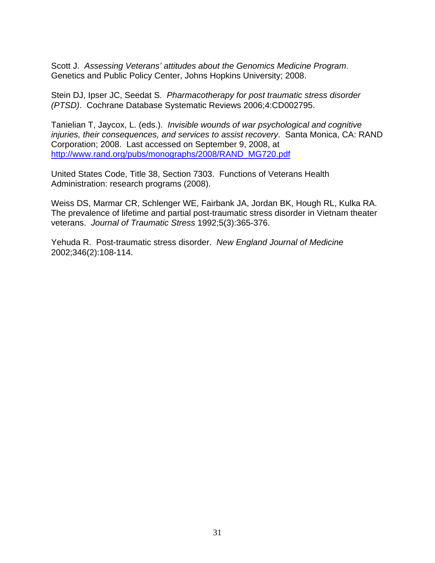Scott J. *Assessing Veterans' attitudes about the Genomics Medicine Program*. Genetics and Public Policy Center, Johns Hopkins University; 2008.

Stein DJ, Ipser JC, Seedat S. *Pharmacotherapy for post traumatic stress disorder (PTSD)*. Cochrane Database Systematic Reviews 2006;4:CD002795.

Tanielian T, Jaycox, L. (eds.). *Invisible wounds of war psychological and cognitive injuries, their consequences, and services to assist recovery*. Santa Monica, CA: RAND Corporation; 2008. Last accessed on September 9, 2008, at [http://www.rand.org/pubs/monographs/2008/RAND\\_MG720.pdf](http://www.rand.org/pubs/monographs/2008/RAND_MG720.pdf) 

United States Code, Title 38, Section 7303. Functions of Veterans Health Administration: research programs (2008).

Weiss DS, Marmar CR, Schlenger WE, Fairbank JA, Jordan BK, Hough RL, Kulka RA. The prevalence of lifetime and partial post-traumatic stress disorder in Vietnam theater veterans. *Journal of Traumatic Stress* 1992;5(3):365-376.

Yehuda R. Post-traumatic stress disorder. *New England Journal of Medicine* 2002;346(2):108-114.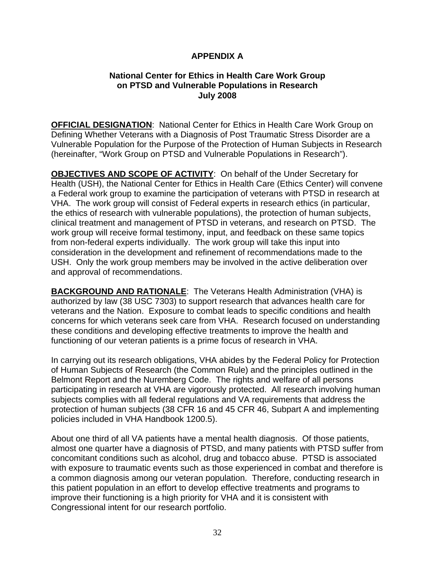## **APPENDIX A**

#### **National Center for Ethics in Health Care Work Group on PTSD and Vulnerable Populations in Research July 2008**

**OFFICIAL DESIGNATION**: National Center for Ethics in Health Care Work Group on Defining Whether Veterans with a Diagnosis of Post Traumatic Stress Disorder are a Vulnerable Population for the Purpose of the Protection of Human Subjects in Research (hereinafter, "Work Group on PTSD and Vulnerable Populations in Research").

**OBJECTIVES AND SCOPE OF ACTIVITY**: On behalf of the Under Secretary for Health (USH), the National Center for Ethics in Health Care (Ethics Center) will convene a Federal work group to examine the participation of veterans with PTSD in research at VHA. The work group will consist of Federal experts in research ethics (in particular, the ethics of research with vulnerable populations), the protection of human subjects, clinical treatment and management of PTSD in veterans, and research on PTSD. The work group will receive formal testimony, input, and feedback on these same topics from non-federal experts individually. The work group will take this input into consideration in the development and refinement of recommendations made to the USH. Only the work group members may be involved in the active deliberation over and approval of recommendations.

**BACKGROUND AND RATIONALE**: The Veterans Health Administration (VHA) is authorized by law (38 USC 7303) to support research that advances health care for veterans and the Nation. Exposure to combat leads to specific conditions and health concerns for which veterans seek care from VHA. Research focused on understanding these conditions and developing effective treatments to improve the health and functioning of our veteran patients is a prime focus of research in VHA.

In carrying out its research obligations, VHA abides by the Federal Policy for Protection of Human Subjects of Research (the Common Rule) and the principles outlined in the Belmont Report and the Nuremberg Code. The rights and welfare of all persons participating in research at VHA are vigorously protected. All research involving human subjects complies with all federal regulations and VA requirements that address the protection of human subjects (38 CFR 16 and 45 CFR 46, Subpart A and implementing policies included in VHA Handbook 1200.5).

About one third of all VA patients have a mental health diagnosis. Of those patients, almost one quarter have a diagnosis of PTSD, and many patients with PTSD suffer from concomitant conditions such as alcohol, drug and tobacco abuse. PTSD is associated with exposure to traumatic events such as those experienced in combat and therefore is a common diagnosis among our veteran population. Therefore, conducting research in this patient population in an effort to develop effective treatments and programs to improve their functioning is a high priority for VHA and it is consistent with Congressional intent for our research portfolio.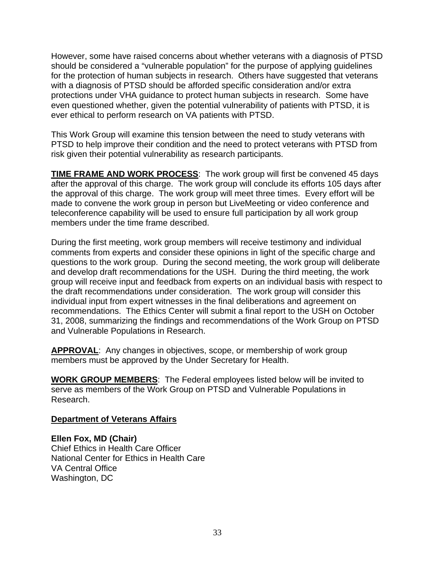However, some have raised concerns about whether veterans with a diagnosis of PTSD should be considered a "vulnerable population" for the purpose of applying guidelines for the protection of human subjects in research. Others have suggested that veterans with a diagnosis of PTSD should be afforded specific consideration and/or extra protections under VHA guidance to protect human subjects in research. Some have even questioned whether, given the potential vulnerability of patients with PTSD, it is ever ethical to perform research on VA patients with PTSD.

This Work Group will examine this tension between the need to study veterans with PTSD to help improve their condition and the need to protect veterans with PTSD from risk given their potential vulnerability as research participants.

**TIME FRAME AND WORK PROCESS**: The work group will first be convened 45 days after the approval of this charge. The work group will conclude its efforts 105 days after the approval of this charge. The work group will meet three times. Every effort will be made to convene the work group in person but LiveMeeting or video conference and teleconference capability will be used to ensure full participation by all work group members under the time frame described.

During the first meeting, work group members will receive testimony and individual comments from experts and consider these opinions in light of the specific charge and questions to the work group. During the second meeting, the work group will deliberate and develop draft recommendations for the USH. During the third meeting, the work group will receive input and feedback from experts on an individual basis with respect to the draft recommendations under consideration. The work group will consider this individual input from expert witnesses in the final deliberations and agreement on recommendations. The Ethics Center will submit a final report to the USH on October 31, 2008, summarizing the findings and recommendations of the Work Group on PTSD and Vulnerable Populations in Research.

**APPROVAL**: Any changes in objectives, scope, or membership of work group members must be approved by the Under Secretary for Health.

**WORK GROUP MEMBERS**: The Federal employees listed below will be invited to serve as members of the Work Group on PTSD and Vulnerable Populations in Research.

#### **Department of Veterans Affairs**

**Ellen Fox, MD (Chair)**  Chief Ethics in Health Care Officer National Center for Ethics in Health Care VA Central Office Washington, DC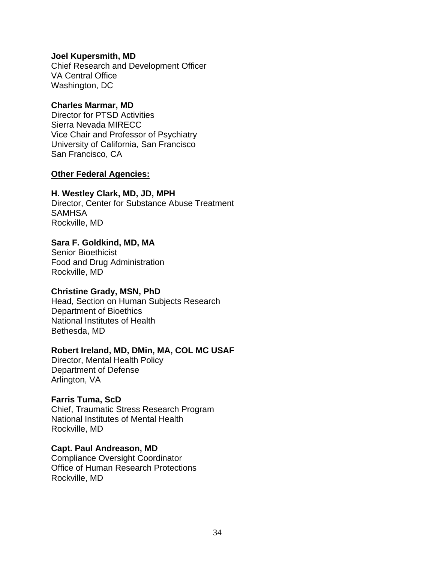**Joel Kupersmith, MD**  Chief Research and Development Officer VA Central Office Washington, DC

#### **Charles Marmar, MD**

Director for PTSD Activities Sierra Nevada MIRECC Vice Chair and Professor of Psychiatry University of California, San Francisco San Francisco, CA

#### **Other Federal Agencies:**

#### **H. Westley Clark, MD, JD, MPH**

Director, Center for Substance Abuse Treatment **SAMHSA** Rockville, MD

#### **Sara F. Goldkind, MD, MA**

Senior Bioethicist Food and Drug Administration Rockville, MD

#### **Christine Grady, MSN, PhD**

Head, Section on Human Subjects Research Department of Bioethics National Institutes of Health Bethesda, MD

#### **Robert Ireland, MD, DMin, MA, COL MC USAF**

Director, Mental Health Policy Department of Defense Arlington, VA

#### **Farris Tuma, ScD**

Chief, Traumatic Stress Research Program National Institutes of Mental Health Rockville, MD

#### **Capt. Paul Andreason, MD**

Compliance Oversight Coordinator Office of Human Research Protections Rockville, MD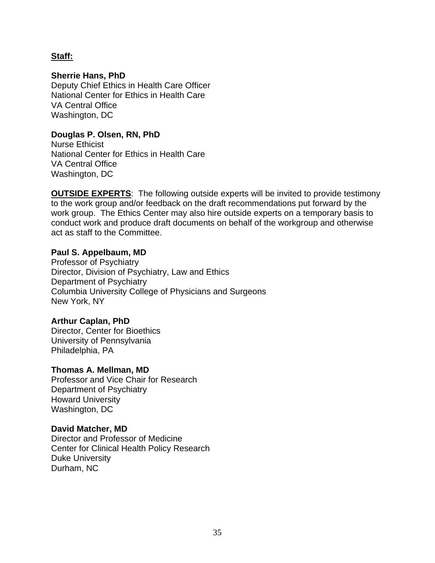#### **Staff:**

#### **Sherrie Hans, PhD**

Deputy Chief Ethics in Health Care Officer National Center for Ethics in Health Care VA Central Office Washington, DC

#### **Douglas P. Olsen, RN, PhD**

Nurse Ethicist National Center for Ethics in Health Care VA Central Office Washington, DC

**OUTSIDE EXPERTS:** The following outside experts will be invited to provide testimony to the work group and/or feedback on the draft recommendations put forward by the work group. The Ethics Center may also hire outside experts on a temporary basis to conduct work and produce draft documents on behalf of the workgroup and otherwise act as staff to the Committee.

#### **Paul S. Appelbaum, MD**

Professor of Psychiatry Director, Division of Psychiatry, Law and Ethics Department of Psychiatry Columbia University College of Physicians and Surgeons New York, NY

#### **Arthur Caplan, PhD**

Director, Center for Bioethics University of Pennsylvania Philadelphia, PA

#### **Thomas A. Mellman, MD**

Professor and Vice Chair for Research Department of Psychiatry Howard University Washington, DC

#### **David Matcher, MD**

Director and Professor of Medicine Center for Clinical Health Policy Research Duke University Durham, NC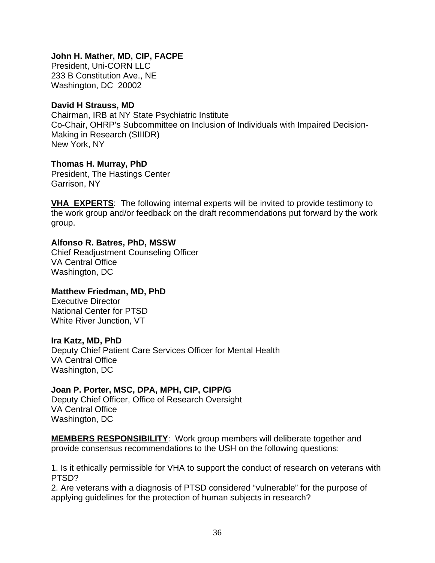## **John H. Mather, MD, CIP, FACPE**

President, Uni-CORN LLC 233 B Constitution Ave., NE Washington, DC 20002

#### **David H Strauss, MD**

Chairman, IRB at NY State Psychiatric Institute Co-Chair, OHRP's Subcommittee on Inclusion of Individuals with Impaired Decision-Making in Research (SIIIDR) New York, NY

#### **Thomas H. Murray, PhD**

President, The Hastings Center Garrison, NY

**VHA EXPERTS**: The following internal experts will be invited to provide testimony to the work group and/or feedback on the draft recommendations put forward by the work group.

#### **Alfonso R. Batres, PhD, MSSW**

Chief Readjustment Counseling Officer VA Central Office Washington, DC

# **Matthew Friedman, MD, PhD**

Executive Director National Center for PTSD White River Junction, VT

#### **Ira Katz, MD, PhD**

Deputy Chief Patient Care Services Officer for Mental Health VA Central Office Washington, DC

# **Joan P. Porter, MSC, DPA, MPH, CIP, CIPP/G**

Deputy Chief Officer, Office of Research Oversight VA Central Office Washington, DC

**MEMBERS RESPONSIBILITY**: Work group members will deliberate together and provide consensus recommendations to the USH on the following questions:

1. Is it ethically permissible for VHA to support the conduct of research on veterans with PTSD?

2. Are veterans with a diagnosis of PTSD considered "vulnerable" for the purpose of applying guidelines for the protection of human subjects in research?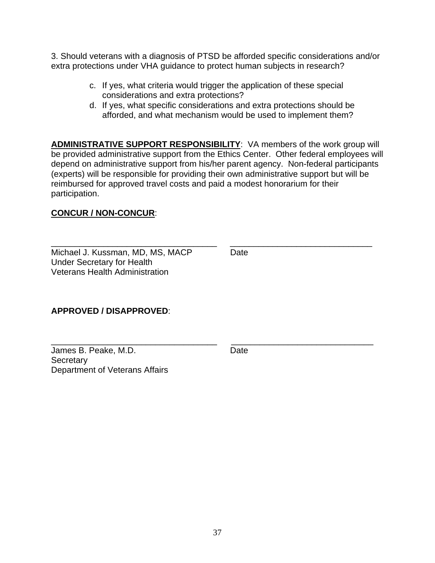3. Should veterans with a diagnosis of PTSD be afforded specific considerations and/or extra protections under VHA guidance to protect human subjects in research?

- c. If yes, what criteria would trigger the application of these special considerations and extra protections?
- d. If yes, what specific considerations and extra protections should be afforded, and what mechanism would be used to implement them?

**ADMINISTRATIVE SUPPORT RESPONSIBILITY**: VA members of the work group will be provided administrative support from the Ethics Center. Other federal employees will depend on administrative support from his/her parent agency. Non-federal participants (experts) will be responsible for providing their own administrative support but will be reimbursed for approved travel costs and paid a modest honorarium for their participation.

\_\_\_\_\_\_\_\_\_\_\_\_\_\_\_\_\_\_\_\_\_\_\_\_\_\_\_\_\_\_\_\_\_\_\_ \_\_\_\_\_\_\_\_\_\_\_\_\_\_\_\_\_\_\_\_\_\_\_\_\_\_\_\_\_\_

\_\_\_\_\_\_\_\_\_\_\_\_\_\_\_\_\_\_\_\_\_\_\_\_\_\_\_\_\_\_\_\_\_\_\_ \_\_\_\_\_\_\_\_\_\_\_\_\_\_\_\_\_\_\_\_\_\_\_\_\_\_\_\_\_\_

# **CONCUR / NON-CONCUR**:

Michael J. Kussman, MD, MS, MACP Date Under Secretary for Health Veterans Health Administration

# **APPROVED / DISAPPROVED**:

James B. Peake, M.D. Date **Secretary** Department of Veterans Affairs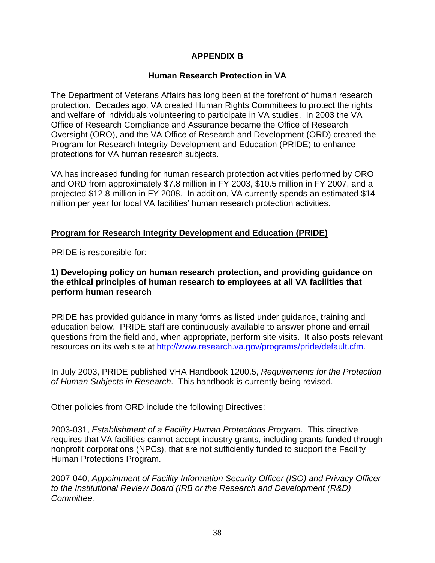# **APPENDIX B**

# **Human Research Protection in VA**

The Department of Veterans Affairs has long been at the forefront of human research protection. Decades ago, VA created Human Rights Committees to protect the rights and welfare of individuals volunteering to participate in VA studies. In 2003 the VA Office of Research Compliance and Assurance became the Office of Research Oversight (ORO), and the VA Office of Research and Development (ORD) created the Program for Research Integrity Development and Education (PRIDE) to enhance protections for VA human research subjects.

VA has increased funding for human research protection activities performed by ORO and ORD from approximately \$7.8 million in FY 2003, \$10.5 million in FY 2007, and a projected \$12.8 million in FY 2008. In addition, VA currently spends an estimated \$14 million per year for local VA facilities' human research protection activities.

# **Program for Research Integrity Development and Education (PRIDE)**

PRIDE is responsible for:

#### **1) Developing policy on human research protection, and providing guidance on the ethical principles of human research to employees at all VA facilities that perform human research**

PRIDE has provided guidance in many forms as listed under guidance, training and education below. PRIDE staff are continuously available to answer phone and email questions from the field and, when appropriate, perform site visits. It also posts relevant resources on its web site at [http://www.research.va.gov/programs/pride/default.cfm.](http://www.research.va.gov/programs/pride/default.cfm)

In July 2003, PRIDE published VHA Handbook 1200.5, *Requirements for the Protection of Human Subjects in Research*. This handbook is currently being revised.

Other policies from ORD include the following Directives:

2003-031, *Establishment of a Facility Human Protections Program.* This directive requires that VA facilities cannot accept industry grants, including grants funded through nonprofit corporations (NPCs), that are not sufficiently funded to support the Facility Human Protections Program.

2007-040, *Appointment of Facility Information Security Officer (ISO) and Privacy Officer to the Institutional Review Board (IRB or the Research and Development (R&D) Committee.*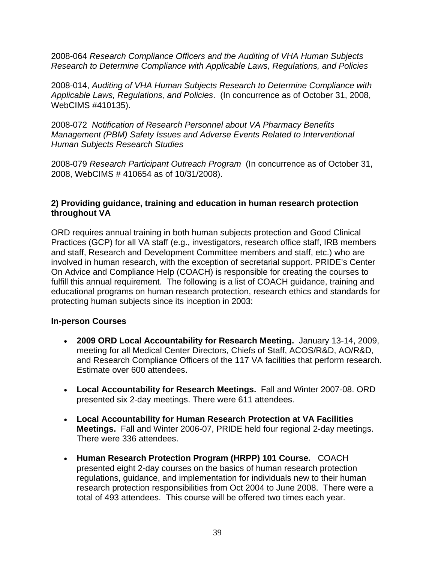2008-064 *Research Compliance Officers and the Auditing of VHA Human Subjects Research to Determine Compliance with Applicable Laws, Regulations, and Policies*

2008-014, *Auditing of VHA Human Subjects Research to Determine Compliance with Applicable Laws, Regulations, and Policies*. (In concurrence as of October 31, 2008, WebCIMS #410135).

2008-072 *Notification of Research Personnel about VA Pharmacy Benefits Management (PBM) Safety Issues and Adverse Events Related to Interventional Human Subjects Research Studies*

2008-079 *Research Participant Outreach Program* (In concurrence as of October 31, 2008, WebCIMS # 410654 as of 10/31/2008).

## **2) Providing guidance, training and education in human research protection throughout VA**

ORD requires annual training in both human subjects protection and Good Clinical Practices (GCP) for all VA staff (e.g., investigators, research office staff, IRB members and staff, Research and Development Committee members and staff, etc.) who are involved in human research, with the exception of secretarial support. PRIDE's Center On Advice and Compliance Help (COACH) is responsible for creating the courses to fulfill this annual requirement. The following is a list of COACH guidance, training and educational programs on human research protection, research ethics and standards for protecting human subjects since its inception in 2003:

# **In-person Courses**

- **2009 ORD Local Accountability for Research Meeting.** January 13-14, 2009, meeting for all Medical Center Directors, Chiefs of Staff, ACOS/R&D, AO/R&D, and Research Compliance Officers of the 117 VA facilities that perform research. Estimate over 600 attendees.
- **Local Accountability for Research Meetings.** Fall and Winter 2007-08. ORD presented six 2-day meetings. There were 611 attendees.
- **Local Accountability for Human Research Protection at VA Facilities Meetings.** Fall and Winter 2006-07, PRIDE held four regional 2-day meetings. There were 336 attendees.
- **Human Research Protection Program (HRPP) 101 Course.** COACH presented eight 2-day courses on the basics of human research protection regulations, guidance, and implementation for individuals new to their human research protection responsibilities from Oct 2004 to June 2008. There were a total of 493 attendees. This course will be offered two times each year.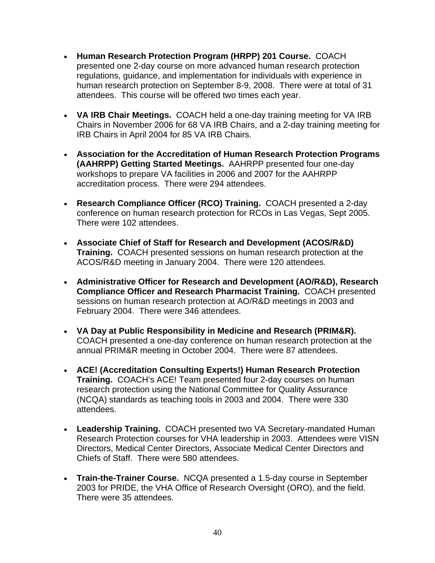- **Human Research Protection Program (HRPP) 201 Course.** COACH presented one 2-day course on more advanced human research protection regulations, guidance, and implementation for individuals with experience in human research protection on September 8-9, 2008. There were at total of 31 attendees. This course will be offered two times each year.
- **VA IRB Chair Meetings.** COACH held a one-day training meeting for VA IRB Chairs in November 2006 for 68 VA IRB Chairs, and a 2-day training meeting for IRB Chairs in April 2004 for 85 VA IRB Chairs.
- **Association for the Accreditation of Human Research Protection Programs (AAHRPP) Getting Started Meetings.** AAHRPP presented four one-day workshops to prepare VA facilities in 2006 and 2007 for the AAHRPP accreditation process. There were 294 attendees.
- **Research Compliance Officer (RCO) Training.** COACH presented a 2-day conference on human research protection for RCOs in Las Vegas, Sept 2005. There were 102 attendees.
- **Associate Chief of Staff for Research and Development (ACOS/R&D) Training.** COACH presented sessions on human research protection at the ACOS/R&D meeting in January 2004. There were 120 attendees.
- **Administrative Officer for Research and Development (AO/R&D), Research Compliance Officer and Research Pharmacist Training.** COACH presented sessions on human research protection at AO/R&D meetings in 2003 and February 2004. There were 346 attendees.
- **VA Day at Public Responsibility in Medicine and Research (PRIM&R).**  COACH presented a one-day conference on human research protection at the annual PRIM&R meeting in October 2004. There were 87 attendees.
- **ACE! (Accreditation Consulting Experts!) Human Research Protection Training.** COACH's ACE! Team presented four 2-day courses on human research protection using the National Committee for Quality Assurance (NCQA) standards as teaching tools in 2003 and 2004. There were 330 attendees.
- **Leadership Training.** COACH presented two VA Secretary-mandated Human Research Protection courses for VHA leadership in 2003. Attendees were VISN Directors, Medical Center Directors, Associate Medical Center Directors and Chiefs of Staff. There were 580 attendees.
- **Train-the-Trainer Course.** NCQA presented a 1.5-day course in September 2003 for PRIDE, the VHA Office of Research Oversight (ORO), and the field. There were 35 attendees.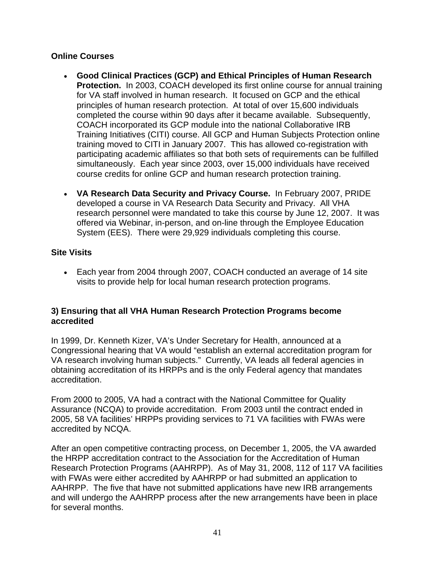# **Online Courses**

- **Good Clinical Practices (GCP) and Ethical Principles of Human Research Protection.** In 2003, COACH developed its first online course for annual training for VA staff involved in human research. It focused on GCP and the ethical principles of human research protection. At total of over 15,600 individuals completed the course within 90 days after it became available. Subsequently, COACH incorporated its GCP module into the national Collaborative IRB Training Initiatives (CITI) course. All GCP and Human Subjects Protection online training moved to CITI in January 2007. This has allowed co-registration with participating academic affiliates so that both sets of requirements can be fulfilled simultaneously. Each year since 2003, over 15,000 individuals have received course credits for online GCP and human research protection training.
- **VA Research Data Security and Privacy Course.** In February 2007, PRIDE developed a course in VA Research Data Security and Privacy. All VHA research personnel were mandated to take this course by June 12, 2007. It was offered via Webinar, in-person, and on-line through the Employee Education System (EES). There were 29,929 individuals completing this course.

# **Site Visits**

 Each year from 2004 through 2007, COACH conducted an average of 14 site visits to provide help for local human research protection programs.

#### **3) Ensuring that all VHA Human Research Protection Programs become accredited**

In 1999, Dr. Kenneth Kizer, VA's Under Secretary for Health, announced at a Congressional hearing that VA would "establish an external accreditation program for VA research involving human subjects." Currently, VA leads all federal agencies in obtaining accreditation of its HRPPs and is the only Federal agency that mandates accreditation.

From 2000 to 2005, VA had a contract with the National Committee for Quality Assurance (NCQA) to provide accreditation. From 2003 until the contract ended in 2005, 58 VA facilities' HRPPs providing services to 71 VA facilities with FWAs were accredited by NCQA.

After an open competitive contracting process, on December 1, 2005, the VA awarded the HRPP accreditation contract to the Association for the Accreditation of Human Research Protection Programs (AAHRPP). As of May 31, 2008, 112 of 117 VA facilities with FWAs were either accredited by AAHRPP or had submitted an application to AAHRPP. The five that have not submitted applications have new IRB arrangements and will undergo the AAHRPP process after the new arrangements have been in place for several months.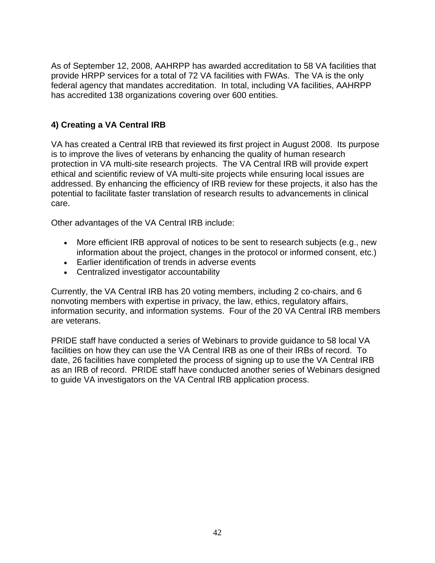As of September 12, 2008, AAHRPP has awarded accreditation to 58 VA facilities that provide HRPP services for a total of 72 VA facilities with FWAs. The VA is the only federal agency that mandates accreditation. In total, including VA facilities, AAHRPP has accredited 138 organizations covering over 600 entities.

# **4) Creating a VA Central IRB**

VA has created a Central IRB that reviewed its first project in August 2008. Its purpose is to improve the lives of veterans by enhancing the quality of human research protection in VA multi-site research projects. The VA Central IRB will provide expert ethical and scientific review of VA multi-site projects while ensuring local issues are addressed. By enhancing the efficiency of IRB review for these projects, it also has the potential to facilitate faster translation of research results to advancements in clinical care.

Other advantages of the VA Central IRB include:

- More efficient IRB approval of notices to be sent to research subjects (e.g., new information about the project, changes in the protocol or informed consent, etc.)
- Earlier identification of trends in adverse events
- Centralized investigator accountability

Currently, the VA Central IRB has 20 voting members, including 2 co-chairs, and 6 nonvoting members with expertise in privacy, the law, ethics, regulatory affairs, information security, and information systems. Four of the 20 VA Central IRB members are veterans.

PRIDE staff have conducted a series of Webinars to provide guidance to 58 local VA facilities on how they can use the VA Central IRB as one of their IRBs of record. To date, 26 facilities have completed the process of signing up to use the VA Central IRB as an IRB of record. PRIDE staff have conducted another series of Webinars designed to guide VA investigators on the VA Central IRB application process.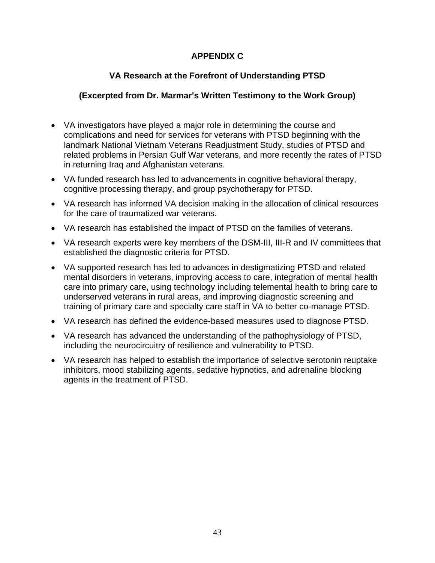# **APPENDIX C**

# **VA Research at the Forefront of Understanding PTSD**

# **(Excerpted from Dr. Marmar's Written Testimony to the Work Group)**

- VA investigators have played a major role in determining the course and complications and need for services for veterans with PTSD beginning with the landmark National Vietnam Veterans Readjustment Study, studies of PTSD and related problems in Persian Gulf War veterans, and more recently the rates of PTSD in returning Iraq and Afghanistan veterans.
- VA funded research has led to advancements in cognitive behavioral therapy, cognitive processing therapy, and group psychotherapy for PTSD.
- VA research has informed VA decision making in the allocation of clinical resources for the care of traumatized war veterans.
- VA research has established the impact of PTSD on the families of veterans.
- VA research experts were key members of the DSM-III, III-R and IV committees that established the diagnostic criteria for PTSD.
- VA supported research has led to advances in destigmatizing PTSD and related mental disorders in veterans, improving access to care, integration of mental health care into primary care, using technology including telemental health to bring care to underserved veterans in rural areas, and improving diagnostic screening and training of primary care and specialty care staff in VA to better co-manage PTSD.
- VA research has defined the evidence-based measures used to diagnose PTSD.
- VA research has advanced the understanding of the pathophysiology of PTSD, including the neurocircuitry of resilience and vulnerability to PTSD.
- VA research has helped to establish the importance of selective serotonin reuptake inhibitors, mood stabilizing agents, sedative hypnotics, and adrenaline blocking agents in the treatment of PTSD.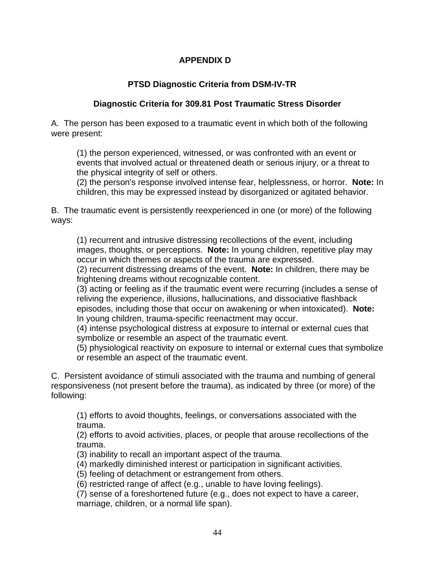# **APPENDIX D**

# **PTSD Diagnostic Criteria from DSM-IV-TR**

# **Diagnostic Criteria for 309.81 Post Traumatic Stress Disorder**

A. The person has been exposed to a traumatic event in which both of the following were present:

(1) the person experienced, witnessed, or was confronted with an event or events that involved actual or threatened death or serious injury, or a threat to the physical integrity of self or others.

(2) the person's response involved intense fear, helplessness, or horror. **Note:** In children, this may be expressed instead by disorganized or agitated behavior.

B. The traumatic event is persistently reexperienced in one (or more) of the following ways:

(1) recurrent and intrusive distressing recollections of the event, including images, thoughts, or perceptions. **Note:** In young children, repetitive play may occur in which themes or aspects of the trauma are expressed.

(2) recurrent distressing dreams of the event. **Note:** In children, there may be frightening dreams without recognizable content.

(3) acting or feeling as if the traumatic event were recurring (includes a sense of reliving the experience, illusions, hallucinations, and dissociative flashback episodes, including those that occur on awakening or when intoxicated). **Note:** In young children, trauma-specific reenactment may occur.

(4) intense psychological distress at exposure to internal or external cues that symbolize or resemble an aspect of the traumatic event.

(5) physiological reactivity on exposure to internal or external cues that symbolize or resemble an aspect of the traumatic event.

C. Persistent avoidance of stimuli associated with the trauma and numbing of general responsiveness (not present before the trauma), as indicated by three (or more) of the following:

(1) efforts to avoid thoughts, feelings, or conversations associated with the trauma.

(2) efforts to avoid activities, places, or people that arouse recollections of the trauma.

(3) inability to recall an important aspect of the trauma.

(4) markedly diminished interest or participation in significant activities.

(5) feeling of detachment or estrangement from others.

(6) restricted range of affect (e.g., unable to have loving feelings).

(7) sense of a foreshortened future (e.g., does not expect to have a career, marriage, children, or a normal life span).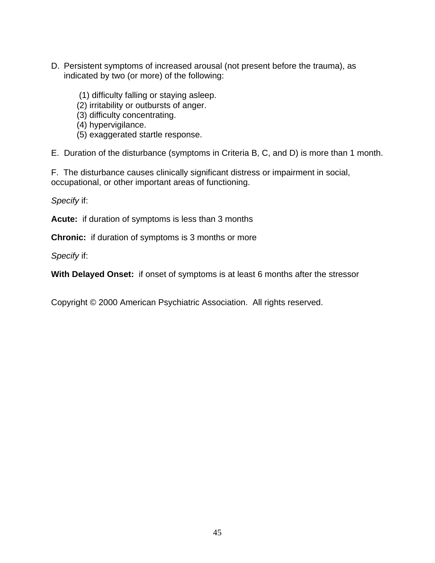- D. Persistent symptoms of increased arousal (not present before the trauma), as indicated by two (or more) of the following:
	- (1) difficulty falling or staying asleep.
	- (2) irritability or outbursts of anger.
	- (3) difficulty concentrating.
	- (4) hypervigilance.
	- (5) exaggerated startle response.

E. Duration of the disturbance (symptoms in Criteria B, C, and D) is more than 1 month.

F. The disturbance causes clinically significant distress or impairment in social, occupational, or other important areas of functioning.

*Specify* if:

**Acute:** if duration of symptoms is less than 3 months

**Chronic:** if duration of symptoms is 3 months or more

*Specify* if:

**With Delayed Onset:** if onset of symptoms is at least 6 months after the stressor

Copyright © 2000 American Psychiatric Association. All rights reserved.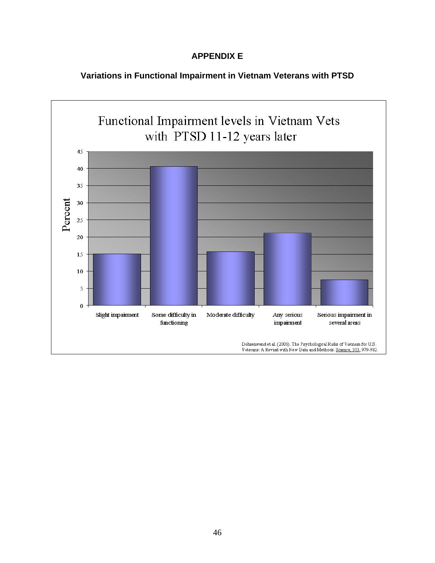# **APPENDIX E**

# **Variations in Functional Impairment in Vietnam Veterans with PTSD**

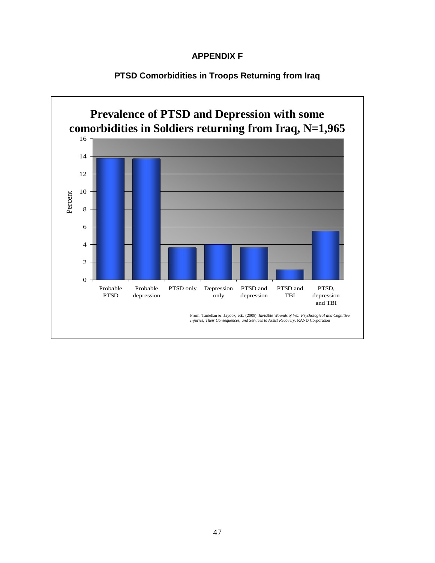## **APPENDIX F**



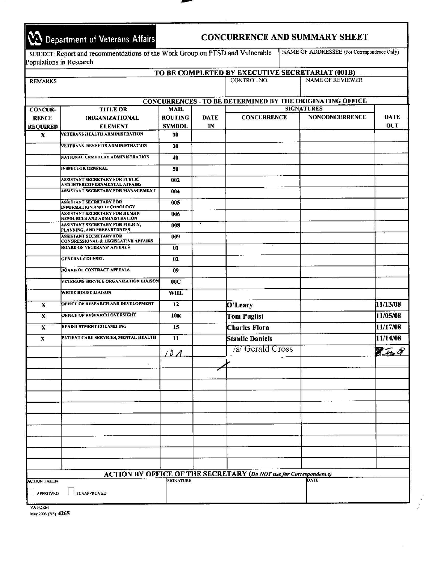|                 | 10 Department of Veterans Affairs                                             |                          |             |                                               |  | <b>CONCURRENCE AND SUMMARY SHEET</b>                             |                             |
|-----------------|-------------------------------------------------------------------------------|--------------------------|-------------|-----------------------------------------------|--|------------------------------------------------------------------|-----------------------------|
|                 | SUBJECT: Report and recommentdations of the Work Group on PTSD and Vulnerable |                          |             |                                               |  | NAME OF ADDRESSEE (For Correspondence Only)                      |                             |
|                 | Populations in Research                                                       |                          |             |                                               |  |                                                                  |                             |
|                 |                                                                               |                          |             |                                               |  | TO BE COMPLETED BY EXECUTIVE SECRETARIAT (001B)                  |                             |
| <b>REMARKS</b>  |                                                                               |                          |             | <b>NAME OF REVIEWER</b><br><b>CONTROL NO.</b> |  |                                                                  |                             |
|                 |                                                                               |                          |             |                                               |  | <b>CONCURRENCES - TO BE DETERMINED BY THE ORIGINATING OFFICE</b> |                             |
| <b>CONCUR-</b>  | <b>TITLE OR</b>                                                               | <b>MAIL</b>              |             | <b>SIGNATURES</b>                             |  |                                                                  |                             |
| <b>RENCE</b>    | <b>ORGANIZATIONAL</b>                                                         | <b>ROUTING</b>           | <b>DATE</b> | <b>CONCURRENCE</b>                            |  | <b>NONCONCURRENCE</b>                                            | <b>DATE</b>                 |
| <b>REQUIRED</b> | <b>ELEMENT</b>                                                                | <b>SYMBOL</b>            | $_{\rm IN}$ |                                               |  |                                                                  | OUT                         |
| $\mathbf{x}$    | VETERANS HEALTH ADMINISTRATION                                                | 10                       |             |                                               |  |                                                                  |                             |
|                 | VETERANS BENEFITS ADMINISTRATION                                              | 20                       |             |                                               |  |                                                                  |                             |
|                 | NATIONAL CEMETERY ADMINISTRATION                                              | 40                       |             |                                               |  |                                                                  |                             |
|                 | <b>INSPECTOR GENERAL</b>                                                      | 50                       |             |                                               |  |                                                                  |                             |
|                 | <b>ASSISTANT SECRETARY FOR PUBLIC</b><br>AND INTERGOVERNMENTAL AFFAIRS        | 002                      |             |                                               |  |                                                                  |                             |
|                 | <b>ASSISTANT SECRETARY FOR MANAGEMENT</b>                                     | 004                      |             |                                               |  |                                                                  |                             |
|                 | <b>ASSISTANT SECRETARY FOR</b><br><b>INFORMATION AND TECHNOLOGY</b>           | 005                      |             |                                               |  |                                                                  |                             |
|                 | <b>ASSISTANT SECRETARY FOR HUMAN</b><br>RESOURCES AND ADMINISTRATION          | 006                      |             |                                               |  |                                                                  |                             |
|                 | ASSISTANT SECRETARY FOR POLICY,<br>PLANNING, AND PREPAREDNESS                 | 008                      | $\epsilon$  |                                               |  |                                                                  |                             |
|                 | <b>ASSISTANT SECRETARY FOR</b><br>CONGRESSIONAL & LEGISLATIVE AFFAIRS         | 009                      |             |                                               |  |                                                                  |                             |
|                 | <b>BOARD OF VETERANS' APPEALS</b>                                             | 01                       |             |                                               |  |                                                                  |                             |
|                 | <b>GENERAL COUNSEL</b>                                                        | 02                       |             |                                               |  |                                                                  |                             |
|                 | <b>BOARD OF CONTRACT APPEALS</b>                                              | 09                       |             |                                               |  |                                                                  |                             |
|                 | VETERANS SERVICE ORGANIZATION LIAISON                                         | 00C                      |             |                                               |  |                                                                  |                             |
|                 | <b>WHITE HOUSE LIAISON</b>                                                    | <b>WHL</b>               |             |                                               |  |                                                                  |                             |
| $\mathbf{x}$    | OFFICE OF RESEARCH AND DEVELOPMENT                                            | 12                       |             | O'Leary                                       |  |                                                                  | 11/13/08                    |
| $\mathbf{x}$    | OFFICE OF RESEARCH OVERSIGHT                                                  | 10 <sub>R</sub>          |             | <b>Tom Puglisi</b>                            |  |                                                                  | 11/05/08                    |
| X               | <b>READJUSTMENT COUNSELING</b>                                                | 15                       |             | <b>Charles Flora</b>                          |  |                                                                  | 11/17/08                    |
| X               | PATIENT CARE SERVICES, MENTAL HEALTH                                          | 11                       |             | <b>Stanlie Daniels</b>                        |  |                                                                  | 11/14/08                    |
|                 |                                                                               | $\mathfrak{O}$ $\Lambda$ |             | /s/ Gerald Cross                              |  |                                                                  | $\mathcal{F}_{\mathcal{A}}$ |
|                 |                                                                               |                          |             |                                               |  |                                                                  |                             |

|                     |                    |                  | <b>ACTION BY OFFICE OF THE SECRETARY (Do NOT use for Correspondence)</b> |      |  |
|---------------------|--------------------|------------------|--------------------------------------------------------------------------|------|--|
| <b>ACTION TAKEN</b> |                    | <b>SIGNATURE</b> |                                                                          | DATE |  |
| <b>APPROVED</b>     | <b>DISAPPROVED</b> |                  |                                                                          |      |  |
|                     |                    |                  |                                                                          |      |  |

**VAFORM** 

**<sup>2003</sup>(RS) 4265**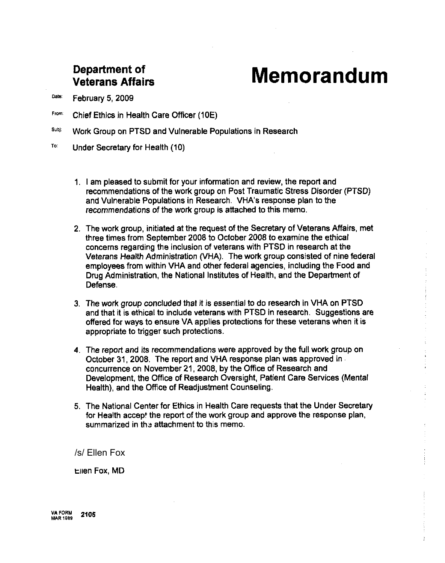# **Department of Veterans Affairs**

# **Memorandum**

Date: February 5, 2009

- **Frm:** Chief Ethics in Health Care Officer (10E)
- **SU":** Work Group on PTSD and Vulnerable Populations in Research
- To: Under Secretary for Health (10)
	- 1. I am pleased to submit for your information and review, the report and recommendations of the work group on Post Traumatic Stress Disorder (PTSD) and Vulnerable Populations in Research. VHA's response plan to the recommendations of the work group is attached to this memo.
	- 2. The work group, initiated at the request of the Secretary of Veterans Affairs, met three times from September 2008 to October 2008 to examine the ethical concerns regarding the inclusion of veterans with PTSD in research at the Veterans Health Administration (VHA). The work group consisted of nine federal employees from within VHA and other federal agencies, including the Food and Drug Administration, the National Institutes of Health, and the Department of Defense.
	- 3. The work group concluded that it is essential to do research in VHA on PTSD and that it is ethical to include veterans with PTSD in research. Suggestions are offered for ways to ensure VA applies protections for these veterans when it is appropriate to trigger such protections.
	- 4. The report and its recommendations were approved by the full work group on October 31,2008. The report and VHA response plan was approved in concurrence on November 21,2008, by the Office of Research and Development, the Office of Research Oversight, Patient Care Services (Mental Health), and the Office of Readjustment Counseling.
	- 5. The National Center for Ethics in Health Care requests that the Under Secretary for Health accept the report of the work group and approve the response plan, summarized in the attachment to this memo.

/s/ Ellen Fox

Ellen Fox. MD